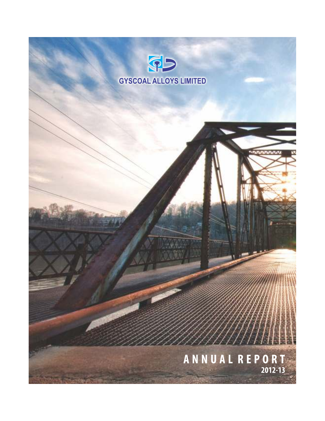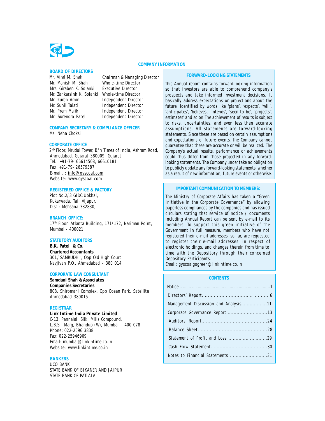#### **COMPANY INFORMATION**

#### **BOARD OF DIRECTORS**

Mr. Viral M. Shah Chairman & Managing Director Mr. Manish M. Shah Whole-time Director Mrs. Giraben K. Solanki Executive Director Mr. Zankarsinh K. Solanki Whole-time Director Mr. Kuren Amin **Independent Director**<br>Mr. Sunil Talati **Independent Director** Mr. Prem Malik Independent Director Mr. Surendra Patel Independent Director

Independent Director

## **COMPANY SECRETARY & COMPLIANCE OFFICER**

Ms. Neha Choksi

#### **CORPORATE OFFICE**

2 ND Floor, Mrudul Tower, B/h Times of India, Ashram Road, Ahmedabad, Gujarat 380009, Gujarat Tel. +91-79- 66614508, 66610181 Fax +91-79- 26579387 E-mail. : info@gyscoal.com Website: www.gyscoal.com

#### **REGISTERED OFFICE & FACTORY**

Plot No.2/3 GIDC Ubkhal, Kukarwada, Tal. Vijapur, Dist.: Mehsana 382830,

#### **BRANCH OFFICE:**

17<sup>th</sup> Floor, Atlanta Building, 171/172, Nariman Point, Mumbai - 400021

### **STATUTORY AUDITORS**

**B.K. Patel & Co. Chartered Accountants** 301,' SAMRUDHI', Opp Old High Court Navjivan P.O., Ahmedabad – 380 014

#### **CORPORATE LAW CONSULTANT**

**Samdani Shah & Associates Companies Secretaries** 808, Shiromani Complex, Opp Ocean Park, Satellite Ahmedabad 380015

#### **REGISTRAR**

**Link Intime India Private Limited** C-13, Pannalal Silk Mills Compound, L.B.S. Marg, Bhandup (W), Mumbai – 400 078 Phone: 022-2596 3838 Fax: 022-25946969 Email: mumbai@linkintime.co.in Website: www.linkintime.co.in

#### **BANKERS**

UCO BANK STATE BANK OF BIKANER AND JAIPUR STATE BANK OF PATIALA

#### **FORWARD-LOOKING STATEMENTS**

*This Annual report contains forward-looking information so that investors are able to comprehend company's prospects and take informed investment decisions. It basically address expectations or projections about the future, identified by words like 'plans', 'expects', 'will', 'anticipates', 'believes', 'intends', 'seen to be', 'projects',' estimates' and so on The achievement of results is subject to risks, uncertainties, and even less then accurate assumptions. All statements are forward-looking statements. Since these are based on certain assumptions and expectations of future events, the Company cannot guarantee that these are accurate or will be realized. The Company's actual results, performance or achievements could thus differ from those projected in any forwardlooking statements. The Company under take no obligation to publicly update any forward-looking statements, whether as a result of new information, future events or otherwise.*

## **IMPORTANT COMMUNICATION TO MEMBERS:**

The Ministry of Corporate Affairs has taken a "Green Initiative in the Corporate Governance" by allowing paperless compliances by the companies and has issued circulars stating that service of notice / documents including Annual Report can be sent by e-mail to its members. To support this green initiative of the Government in full measure, members who have not registered their e-mail addresses, so far, are requested to register their e-mail addresses, in respect of electronic holdings, and changes therein from time to time with the Depository through their concerned Depository Participants.

Email: gyscoalgogreen@linkintime.co.in

## **CONTENTS**

| Management Discussion and Analysis11 |  |
|--------------------------------------|--|
|                                      |  |
|                                      |  |
|                                      |  |
|                                      |  |
|                                      |  |
| Notes to Financial Statements 31     |  |
|                                      |  |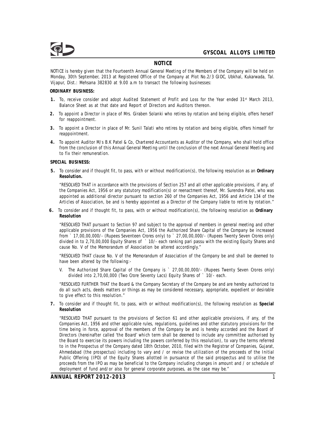

## **NOTICE**

NOTICE is hereby given that the Fourteenth Annual General Meeting of the Members of the Company will be held on Monday, 30th September, 2013 at Registered Office of the Company at Plot No.2/3 GIDC, Ubkhal, Kukarwada, Tal. Vijapur, Dist.: Mehsana 382830 at 9.00 a.m to transact the following businesses:

**ORDINARY BUSINESS:**

- 1. To, receive consider and adopt Audited Statement of Profit and Loss for the Year ended 31<sup>st</sup> March 2013, Balance Sheet as at that date and Report of Directors and Auditors thereon.
- **2.** To appoint a Director in place of Mrs. Giraben Solanki who retires by rotation and being eligible, offers herself for reappointment.
- **3.** To appoint a Director in place of Mr. Sunil Talati who retires by rotation and being eligible, offers himself for reappointment.
- **4.** To appoint Auditor M/s B.K Patel & Co, Chartered Accountants as Auditor of the Company, who shall hold office from the conclusion of this Annual General Meeting until the conclusion of the next Annual General Meeting and to fix their remuneration.

**SPECIAL BUSINESS:**

**5.** To consider and if thought fit, to pass, with or without modification(s), the following resolution as an **Ordinary Resolution.**

"RESOLVED THAT in accordance with the provisions of Section 257 and all other applicable provisions, if any, of the Companies Act, 1956 or any statutory modification(s) or reenactment thereof, Mr. Surendra Patel, who was appointed as additional director pursuant to section 260 of the Companies Act, 1956 and Article 134 of the Articles of Association, be and is hereby appointed as a Director of the Company liable to retire by rotation."

**6.** To consider and if thought fit, to pass, with or without modification(s), the following resolution as **Ordinary Resolution**

"RESOLVED THAT pursuant to Section 97 and subject to the approval of members in general meeting and other applicable provisions of the Companies Act, 1956 the Authorized Share Capital of the Company be increased from ` 17,00,00,000/- (Rupees Seventeen Crores only) to ` 27,00,00,000/- (Rupees Twenty Seven Crores only) divided in to 2,70,00,000 Equity Shares of ` 10/- each ranking pari passu with the existing Equity Shares and cause No. V of the Memorandum of Association be altered accordingly."

"RESOLVED THAT clause No. V of the Memorandum of Association of the Company be and shall be deemed to have been altered by the following:-

V. The Authorized Share Capital of the Company is ` 27,00,00,000/- (Rupees Twenty Seven Crores only) divided into 2,70,00,000 (Two Crore Seventy Lacs) Equity Shares of ` 10/- each.

"RESOLVED FURTHER THAT the Board & the Company Secretary of the Company be and are hereby authorized to do all such acts, deeds matters or things as may be considered necessary, appropriate, expedient or desirable to give effect to this resolution."

**7.** To consider and if thought fit, to pass, with or without modification(s), the following resolution as **Special Resolution**

"RESOLVED THAT pursuant to the provisions of Section 61 and other applicable provisions, if any, of the Companies Act, 1956 and other applicable rules, regulations, guidelines and other statutory provisions for the time being in force, approval of the members of the Company be and is hereby accorded and the Board of Directors (hereinafter called 'the Board' which term shall be deemed to include any committee authorised by the Board to exercise its powers including the powers conferred by this resolution), to vary the terms referred to in the Prospectus of the Company dated 18th October, 2010, filed with the Registrar of Companies, Gujarat, Ahmedabad (the prospectus) including to vary and / or revise the utilization of the proceeds of the Initial Public Offering (IPO) of the Equity Shares allotted in pursuance of the said prospectus and to utilise the proceeds from the IPO as may be beneficial to the Company including changes in amount and / or schedule of deployment of fund and/or also for general corporate purposes, as the case may be."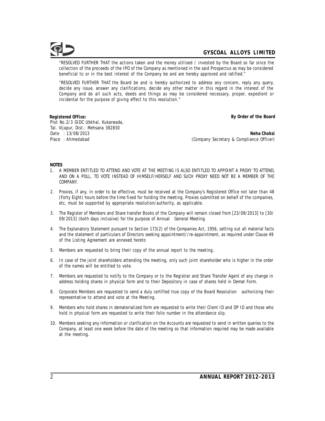"RESOLVED FURTHER THAT the actions taken and the money utilised / invested by the Board so far since the collection of the proceeds of the IPO of the Company as mentioned in the said Prospectus as may be considered beneficial to or in the best interest of the Company be and are hereby approved and ratified."

"RESOLVED FURTHER THAT the Board be and is hereby authorized to address any concern, reply any query, decide any issue, answer any clarifications, decide any other matter in this regard in the interest of the Company and do all such acts, deeds and things as may be considered necessary, proper, expedient or incidental for the purpose of giving effect to this resolution."

**Registered Office: By Order of the Board** Plot No.2/3 GIDC Ubkhal, Kukarwada, Tal. Vijapur, Dist.: Mehsana 382830

Date : 13/08/2013 **Neha Choksi** Place : Ahmedabad **(Company Secretary & Compliance Officer)**  $($ Company Secretary & Compliance Officer)

**NOTES**

- 1. A MEMBER ENTITLED TO ATTEND AND VOTE AT THE MEETING IS ALSO ENTITLED TO APPOINT A PROXY TO ATTEND, AND ON A POLL, TO VOTE INSTEAD OF HIMSELF/HERSELF AND SUCH PROXY NEED NOT BE A MEMBER OF THE COMPANY.
- 2. Proxies, if any, in order to be effective, must be received at the Company's Registered Office not later than 48 (Forty Eight) hours before the time fixed for holding the meeting. Proxies submitted on behalf of the companies, etc, must be supported by appropriate resolution/authority, as applicable.
- 3. The Register of Members and Share transfer Books of the Company will remain closed from [23/09/2013] to [30/ 09/2013] (both days inclusive) for the purpose of Annual General Meeting
- 4. The Explanatory Statement pursuant to Section 173(2) of the Companies Act, 1956, setting out all material facts and the statement of particulars of Directors seeking appointment//re-appointment, as required under Clause 49 of the Listing Agreement are annexed hereto
- 5. Members are requested to bring their copy of the annual report to the meeting.
- 6. In case of the joint shareholders attending the meeting, only such joint shareholder who is higher in the order of the names will be entitled to vote.
- 7. Members are requested to notify to the Company or to the Registrar and Share Transfer Agent of any change in address holding shares in physical form and to their Depository in case of shares held in Demat Form.
- 8. Corporate Members are requested to send a duly certified true copy of the Board Resolution authorizing their representative to attend and vote at the Meeting.
- 9. Members who hold shares in dematerialized form are requested to write their Client ID and DP ID and those who hold in physical form are requested to write their folio number in the attendance slip.
- 10. Members seeking any information or clarification on the Accounts are requested to send in written queries to the Company, at least one week before the date of the meeting so that information required may be made available at the meeting.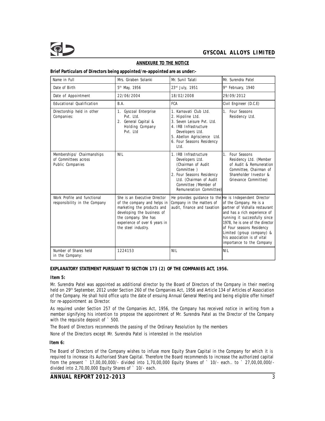

## **ANNEXURE TO THE NOTICE**

**Brief Particulars of Directors being appointed/re-appointed are as under:-**

| Name in Full                                                           | Mrs. Giraben Solanki                                                                                                                                                                                    | Mr. Sunil Talati                                                                                                                                                                         | Mr. Surendra Patel                                                                                                                                                                                                                                                                  |  |
|------------------------------------------------------------------------|---------------------------------------------------------------------------------------------------------------------------------------------------------------------------------------------------------|------------------------------------------------------------------------------------------------------------------------------------------------------------------------------------------|-------------------------------------------------------------------------------------------------------------------------------------------------------------------------------------------------------------------------------------------------------------------------------------|--|
| Date of Birth                                                          | 5 <sup>th</sup> May, 1956                                                                                                                                                                               | 23rd July, 1951                                                                                                                                                                          | 9 <sup>th</sup> February, 1940                                                                                                                                                                                                                                                      |  |
| Date of Appointment                                                    | 22/06/2004                                                                                                                                                                                              | 18/02/2008                                                                                                                                                                               | 29/09/2012                                                                                                                                                                                                                                                                          |  |
| Educational Qualification                                              | B.A.                                                                                                                                                                                                    | FCA                                                                                                                                                                                      | Civil Engineer (D.C.E)                                                                                                                                                                                                                                                              |  |
| Directorship held in other<br>Companies:                               | 1. Gyscoal Enterprise<br>Pvt. Ltd.<br>2. General Capital &<br>Holding Company<br>Pvt. Ltd                                                                                                               | 1. Karnavati Club Ltd.<br>2. Hipoline Ltd.<br>3. Seven Leisure Pvt. Ltd.<br>4. IRB Infrastructure<br>Developers Ltd.<br>5. Abellon Agriscience Ltd.<br>6. Four Seasons Residency<br>Ltd. | 1. Four Seasons<br>Residency Ltd.                                                                                                                                                                                                                                                   |  |
| Memberships/ Chairmanships<br>of Committees across<br>Public Companies | NIL                                                                                                                                                                                                     | 1. IRB Infrastructure<br>Developers Ltd.<br>(Chairman of Audit<br>Committee )<br>2. Four Seasons Residency<br>Ltd. (Chairman of Audit<br>Committee /Member of<br>Remuneration Committee) | 1. Four Seasons<br>Residency Ltd. (Member<br>of Audit & Remuneration<br>Committee, Chairman of<br>Shareholder Investor &<br>Grievance Committee)                                                                                                                                    |  |
| Work Profile and functional<br>responsibility in the Company           | She is an Executive Director<br>of the company and helps in<br>marketing the products and<br>developing the business of<br>the company. She has<br>experience of over 6 years in<br>the steel industry. | He provides guidance to the He is Independent Director<br>Company in the matters of<br>audit, finance and taxation                                                                       | of the Company. He is a<br>partner of Vishalla restaurant<br>and has a rich experience of<br>running it successfully since<br>1978, he is one of the director<br>of Four seasons Residency<br>Limited (group company) &<br>his association is of vital<br>importance to the Company |  |
| Number of Shares held<br>in the Company:                               | 1224153                                                                                                                                                                                                 | <b>NIL</b>                                                                                                                                                                               | <b>NIL</b>                                                                                                                                                                                                                                                                          |  |

**EXPLANATORY STATEMENT PURSUANT TO SECTION 173 (2) OF THE COMPANIES ACT, 1956.**

**Item 5:**

Mr. Surendra Patel was appointed as additional director by the Board of Directors of the Company in their meeting held on 29<sup>th</sup> September, 2012 under Section 260 of the Companies Act, 1956 and Article 134 of Articles of Association of the Company. He shall hold office upto the date of ensuing Annual General Meeting and being eligible offer himself for re-appointment as Director.

As required under Section 257 of the Companies Act, 1956, the Company has received notice in writing from a member signifying his intention to propose the appointment of Mr. Surendra Patel as the Director of the Company with the requisite deposit of  $\degree$  500.

The Board of Directors recommends the passing of the Ordinary Resolution by the members

None of the Directors except Mr. Surendra Patel is interested in the resolution

**Item 6:**

The Board of Directors of the Company wishes to infuse more Equity Share Capital in the Company for which it is required to increase its Authorised Share Capital. Therefore the Board recommends to increase the authorized capital from the present ` 17,00,00,000/- divided into 1,70,00,000 Equity Shares of ` 10/- each.. to ` 27,00,00,000/ divided into 2,70,00,000 Equity Shares of ` 10/- each.

**ANNUAL REPORT 2012-2013** 3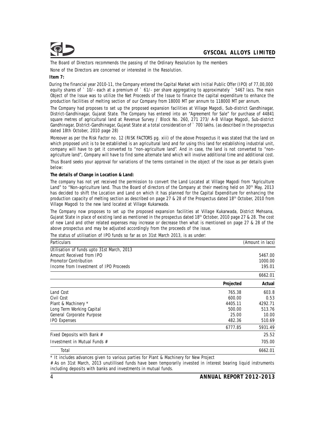

The Board of Directors recommends the passing of the Ordinary Resolution by the members

None of the Directors are concerned or interested in the Resolution.

**Item 7:**

During the financial year 2010-11, the Company entered the Capital Market with Initial Public Offer (IPO) of 77,00,000 equity shares of ` 10/- each at a premium of ` 61/- per share aggregating to approximately ` 5467 lacs. The main Object of the Issue was to utilize the Net Proceeds of the Issue to finance the capital expenditure to enhance the production facilities of melting section of our Company from 18000 MT per annum to 118000 MT per annum.

The Company had proposes to set up the proposed expansion facilities at Village Magodi, Sub-district Gandhinagar, District-Gandhinagar, Gujarat State. The Company has entered into an "Agreement for Sale" for purchase of 44841 square metres of agricultural land at Revenue Survey / Block No. 260, 271 273/ A-B Village Magodi, Sub-district Gandhinagar, District-Gandhinagar, Gujarat State at a total consideration of ` 700 lakhs. (as described in the prospectus dated 18th October, 2010 page 28)

Moreover as per the Risk Factor no. 12 (RISK FACTORS pg. xiii) of the above Prospectus it was stated that the land on which proposed unit is to be established is an agricultural land and for using this land for establishing industrial unit, company will have to get it converted to "non-agriculture land". And in case, the land is not converted to "nonagriculture land", Company will have to find some alternate land which will involve additional time and additional cost.

Thus Board seeks your approval for variations of the terms contained in the object of the issue as per details given below:

**The details of Change in Location & Land:**

The company has not yet received the permission to convert the Land Located at Village Magodi from "Agriculture Land" to "Non-agriculture land. Thus the Board of directors of the Company at their meeting held on 30<sup>th</sup> May, 2013 has decided to shift the Location and Land on which it has planned for the Capital Expenditure for enhancing the production capacity of melting section as described on page 27 & 28 of the Prospectus dated 18<sup>th</sup> October, 2010 from Village Magodi to the new land located at Village Kukarwada.

The Company now proposes to set up the proposed expansion facilities at Village Kukarwada, District Mehsana, Gujarat State in place of existing land as mentioned in the prospectus dated 18<sup>th</sup> October, 2010 page 27 & 28. The cost of new Land and other related expenses may increase or decrease then what is mentioned on page 27 & 28 of the above prospectus and may be adjusted accordingly from the proceeds of the issue.

The status of utilisation of IPO funds so far as on 31st March 2013, is as under:

| Particulars                                | (Amount in lacs) |         |  |
|--------------------------------------------|------------------|---------|--|
| Utilisation of funds upto 31st March, 2013 |                  |         |  |
| Amount Received from IPO                   |                  | 5467.00 |  |
| Promotor Contribution                      |                  | 1000.00 |  |
| Income from Investment of IPO Proceeds     |                  | 195.01  |  |
|                                            |                  | 6662.01 |  |
|                                            | Projected        | Actual  |  |
| Land Cost                                  | 765.38           | 603.8   |  |
| Civil Cost                                 | 600.00           | 0.53    |  |
| Plant & Machinery *                        | 4405.11          | 4292.71 |  |
| Long Term Working Capital                  | 500.00           | 513.76  |  |
| General Corporate Purpose                  | 25.00            | 10.00   |  |
| <b>IPO Expenses</b>                        | 482.36           | 510.69  |  |
|                                            | 6777.85          | 5931.49 |  |
| Fixed Deposits with Bank #                 |                  | 25.52   |  |
| Investment in Mutual Funds #               |                  | 705.00  |  |
| Total                                      |                  | 6662.01 |  |

\* It includes advances given to various parties for Plant & Machinery for New Project

# As on 31st March, 2013 unutillised funds have been temporarily invested in interest bearing liquid instruments including deposits with banks and investments in mutual funds.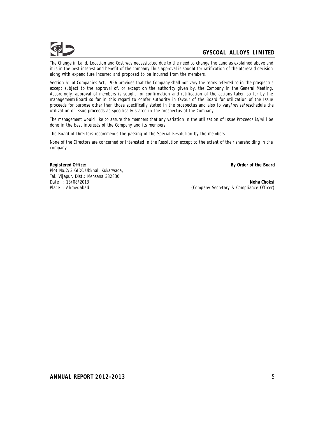The Change in Land, Location and Cost was necessitated due to the need to change the Land as explained above and it is in the best interest and benefit of the company Thus approval is sought for ratification of the aforesaid decision along with expenditure incurred and proposed to be incurred from the members.

Section 61 of Companies Act, 1956 provides that the Company shall not vary the terms referred to in the prospectus except subject to the approval of, or except on the authority given by, the Company in the General Meeting. Accordingly, approval of members is sought for confirmation and ratification of the actions taken so far by the management/Board so far in this regard to confer authority in favour of the Board for utilization of the Issue proceeds for purpose other than those specifically stated in the prospectus and also to vary/revise/reschedule the utilization of Issue proceeds as specifically stated in the prospectus of the Company.

The management would like to assure the members that any variation in the utilization of Issue Proceeds is/will be done in the best interests of the Company and its members

The Board of Directors recommends the passing of the Special Resolution by the members

None of the Directors are concerned or interested in the Resolution except to the extent of their shareholding in the company.

**Registered Office: By Order of the Board** Plot No.2/3 GIDC Ubkhal, Kukarwada, Tal. Vijapur, Dist.: Mehsana 382830

Date : 13/08/2013 **Neha Choksi** (Company Secretary & Compliance Officer)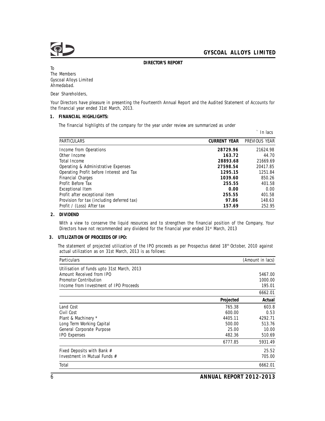

**DIRECTOR'S REPORT**

To The Members Gyscoal Alloys Limited Ahmedabad.

Dear Shareholders,

Your Directors have pleasure in presenting the Fourteenth Annual Report and the Audited Statement of Accounts for the financial year ended 31st March, 2013.

#### **1. FINANCIAL HIGHLIGHTS:**

The financial highlights of the company for the year under review are summarized as under

|                                            |              | In lacs       |
|--------------------------------------------|--------------|---------------|
| <b>PARTICULARS</b>                         | CURRENT YEAR | PREVIOUS YEAR |
| Income from Operations                     | 28729.96     | 21624.98      |
| Other Income                               | 163.72       | 44.70         |
| Total Income                               | 28893.68     | 21669.69      |
| Operating & Administrative Expenses        | 27598.54     | 20417.85      |
| Operating Profit before Interest and Tax   | 1295.15      | 1251.84       |
| Financial Charges                          | 1039.60      | 850.26        |
| Profit Before Tax                          | 255.55       | 401.58        |
| Exceptional Item                           | 0.00         | 0.00          |
| Profit after exceptional item              | 255.55       | 401.58        |
| Provision for tax (including deferred tax) | 97.86        | 148.63        |
| Profit / (Loss) After tax                  | 157.69       | 252.95        |

**2. DIVIDEND**

With a view to conserve the liquid resources and to strengthen the financial position of the Company, Your Directors have not recommended any dividend for the financial year ended 31<sup>st</sup> March, 2013

#### **3. UTILIZATION OF PROCEEDS OF IPO:**

The statement of projected utilization of the IPO proceeds as per Prospectus dated 18<sup>th</sup> October, 2010 against actual utilization as on 31st March, 2013 is as follows:

| (Amount in lacs)<br>Particulars            |           |         |
|--------------------------------------------|-----------|---------|
| Utilisation of funds upto 31st March, 2013 |           |         |
| Amount Received from IPO                   |           | 5467.00 |
| Promotor Contribution                      |           | 1000.00 |
| Income from Investment of IPO Proceeds     |           | 195.01  |
|                                            |           | 6662.01 |
|                                            | Projected | Actual  |
| Land Cost                                  | 765.38    | 603.8   |
| Civil Cost                                 | 600.00    | 0.53    |
| Plant & Machinery *                        | 4405.11   | 4292.71 |
| Long Term Working Capital                  | 500.00    | 513.76  |
| General Corporate Purpose                  | 25.00     | 10.00   |
| <b>IPO Expenses</b>                        | 482.36    | 510.69  |
|                                            | 6777.85   | 5931.49 |
| Fixed Deposits with Bank #                 |           | 25.52   |
| Investment in Mutual Funds #               |           | 705.00  |
| Total                                      |           | 6662.01 |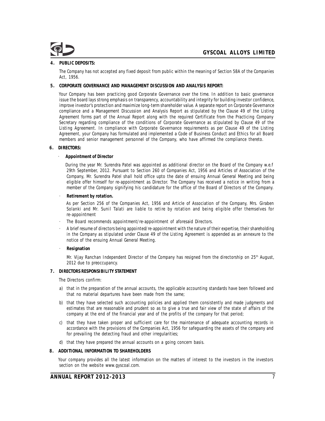## **4. PUBLIC DEPOSITS:**

The Company has not accepted any fixed deposit from public within the meaning of Section 58A of the Companies Act, 1956.

**5. CORPORATE GOVERNANCE AND MANAGEMENT DISCUSSION AND ANALYSIS REPORT:**

Your Company has been practicing good Corporate Governance over the time. In addition to basic governance issue the board lays strong emphasis on transparency, accountability and integrity for building investor confidence, improve investor's protection and maximize long-term shareholder value. A separate report on Corporate Governance compliance and a Management Discussion and Analysis Report as stipulated by the Clause 49 of the Listing Agreement forms part of the Annual Report along with the required Certificate from the Practicing Company Secretary regarding compliance of the conditions of Corporate Governance as stipulated by Clause 49 of the Listing Agreement. In compliance with Corporate Governance requirements as per Clause 49 of the Listing Agreement, your Company has formulated and implemented a Code of Business Conduct and Ethics for all Board members and senior management personnel of the Company, who have affirmed the compliance thereto.

**6. DIRECTORS:**

· **Appointment of Director**

During the year Mr. Surendra Patel was appointed as additional director on the Board of the Company w.e.f 29th September, 2012. Pursuant to Section 260 of Companies Act, 1956 and Articles of Association of the Company, Mr. Surendra Patel shall hold office upto the date of ensuing Annual General Meeting and being eligible offer himself for re-appointment as Director. The Company has received a notice in writing from a member of the Company signifying his candidature for the office of the Board of Directors of the Company.

· **Retirement by rotation.**

As per Section 256 of the Companies Act, 1956 and Article of Association of the Company, Mrs. Giraben Solanki and Mr. Sunil Talati are liable to retire by rotation and being eligible offer themselves for re-appointment

- The Board recommends appointment/re-appointment of aforesaid Directors.
- · A brief resume of directors being appointed/re-appointment with the nature of their expertise, their shareholding in the Company as stipulated under Clause 49 of the Listing Agreement is appended as an annexure to the notice of the ensuing Annual General Meeting.
- · **Resignation**

Mr. Vijay Ranchan Independent Director of the Company has resigned from the directorship on 25<sup>th</sup> August, 2012 due to preoccupancy.

## **7. DIRECTORS RESPONSIBILITY STATEMENT**

The Directors confirm:

- a) that in the preparation of the annual accounts, the applicable accounting standards have been followed and that no material departures have been made from the same;
- b) that they have selected such accounting policies and applied them consistently and made judgments and estimates that are reasonable and prudent so as to give a true and fair view of the state of affairs of the company at the end of the financial year and of the profits of the company for that period;
- c) that they have taken proper and sufficient care for the maintenance of adequate accounting records in accordance with the provisions of the Companies Act, 1956 for safeguarding the assets of the company and for prevailing the detecting fraud and other irregularities;
- d) that they have prepared the annual accounts on a going concern basis.
- **8. ADDITIONAL INFORMATION TO SHAREHOLDERS**

Your company provides all the latest information on the matters of interest to the investors in the investors section on the website www.gyscoal.com.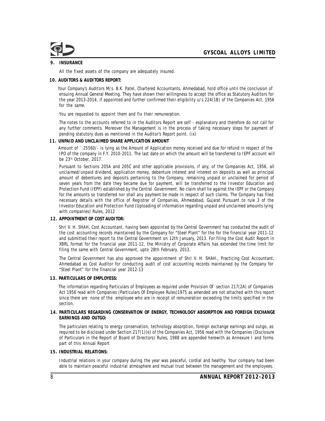## **9. INSURANCE**

All the fixed assets of the company are adequately insured.

**10. AUDITORS & AUDITORS REPORT:**

Your Company's Auditors M/s. B.K. Patel, Chartered Accountants, Ahmedabad, hold office until the conclusion of ensuing Annual General Meeting. They have shown their willingness to accept the office as Statutory Auditors for the year 2013-2014, if appointed and further confirmed their eligibility u/s 224(1B) of the Companies Act, 1956 for the same.

You are requested to appoint them and fix their remuneration.

The notes to the accounts referred to in the Auditors Report are self - explanatory and therefore do not call for any further comments. Moreover the Management is in the process of taking necessary steps for payment of pending statutory dues as mentioned in the Auditor's Report point. (ix)

**11. UNPAID AND UNCLAIMED SHARE APPLICATION AMOUNT**

Amount of ` 25560/- is lying as the Amount of Application money received and due for refund in respect of the IPO of the company in F.Y. 2010-2011. The last date on which the amount will be transferred to IEPF account will be 23rd October, 2017.

Pursuant to Sections 205A and 205C and other applicable provisions, if any, of the Companies Act, 1956, all unclaimed/unpaid dividend, application money, debenture interest and interest on deposits as well as principal amount of debentures and deposits pertaining to the Company, remaining unpaid or unclaimed for period of seven years from the date they became due for payment, will be transferred to the Investor Education and Protection Fund (IEPF) established by the Central Government. No claim shall lie against the IEPF or the Company for the amounts so transferred nor shall any payment be made in respect of such claims. The Company has filed necessary details with the office of Registrar of Companies, Ahmedabad, Gujarat Pursuant to rule 3 of the Investor Education and Protection Fund (Uploading of information regarding unpaid and unclaimed amounts lying with companies) Rules, 2012

**12. APPOINTMENT OF COST AUDITOR:**

Shri V. H. SHAH, Cost Accountant, having been appointed by the Central Government has conducted the audit of the cost accounting records maintained by the Company for "Steel Plant" for the for the financial year 2011-12 and submitted their report to the Central Government on 12th January, 2013. For filing the Cost Audit Report in XBRL format for the financial year 2011-12, the Ministry of Corporate Affairs has extended the time limit for filing the same with Central Government, upto 28th February, 2013.

The Central Government has also approved the appointment of Shri V. H. SHAH., Practicing Cost Accountant, Ahmedabad as Cost Auditor for conducting audit of cost accounting records maintained by the Company for "Steel Plant" for the financial year 2012-13

**13. PARTICULARS OF EMPLOYESS:**

The information regarding Particulars of Employees as required under Provision Of section 217(2A) of Companies Act 1956 read with Companies (Particulars Of Employee Rules)1975 as amended are not attached with this report since there are none of the employee who are in receipt of remuneration exceeding the limits specified in the section.

**14. PARTICULARS REGARDING CONSERVATION OF ENERGY, TECHNOLOGY ABSORPTION AND FOREIGN EXCHANGE EARNINGS AND OUTGO:**

The particulars relating to energy conservation, technology absorption, foreign exchange earnings and outgo, as required to be disclosed under Section 217(1)(e) of the Companies Act, 1956 read with the Companies (Disclosure of Particulars in the Report of Board of Directors) Rules, 1988 are appended herewith as Annexure I and forms part of this Annual Report

**15. INDUSTRIAL RELATIONS:**

Industrial relations in your company during the year was peaceful, cordial and healthy. Your company had been able to maintain peaceful industrial atmosphere and mutual trust between the management and the employees.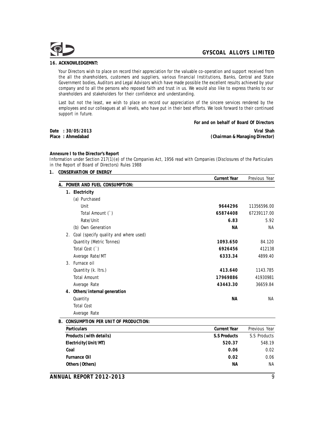

### **16. ACKNOWLEDGEMNT:**

Your Directors wish to place on record their appreciation for the valuable co-operation and support received from the all the shareholders, customers and suppliers, various financial Institutions, Banks, Central and State Government bodies, Auditors and Legal Advisors which have made possible the excellent results achieved by your company and to all the persons who reposed faith and trust in us. We would also like to express thanks to our shareholders and stakeholders for their confidence and understanding.

Last but not the least, we wish to place on record our appreciation of the sincere services rendered by the employees and our colleagues at all levels, who have put in their best efforts. We look forward to their continued support in future.

|                     | For and on behalf of Board Of Directors |
|---------------------|-----------------------------------------|
| Date : 30/05/2013 . | Viral Shah                              |
| Place : Ahmedabad   | (Chairman & Managing Director)          |

**Annexure I to the Director's Report**

Information under Section 217(1)(e) of the Companies Act, 1956 read with Companies (Disclosures of the Particulars in the Report of Board of Directors) Rules 1988

**1. CONSERVATION OF ENERGY**

|    |                                       | <b>Current Year</b> | Previous Year |
|----|---------------------------------------|---------------------|---------------|
| А. | POWER AND FUEL CONSUMPTION:           |                     |               |
|    | 1. Electricity                        |                     |               |
|    | (a) Purchased                         |                     |               |
|    | Unit                                  | 9644296             | 11356596.00   |
|    | Total Amount (`)                      | 65874408            | 67239117.00   |
|    | Rate/Unit                             | 6.83                | 5.92          |
|    | (b) Own Generation                    | <b>NA</b>           | NA            |
| 2. | Coal (specify quality and where used) |                     |               |
|    | Quantity (Metric Tonnes)              | 1093.650            | 84.120        |
|    | Total Cost (`)                        | 6926456             | 412138        |
|    | Average Rate/MT                       | 6333.34             | 4899.40       |
|    | 3. Furnace oil                        |                     |               |
|    | Quantity (k. Itrs.)                   | 413.640             | 1143.785      |
|    | <b>Total Amount</b>                   | 17969886            | 41930981      |
|    | Average Rate                          | 43443.30            | 36659.84      |
|    | 4. Others/internal generation         |                     |               |
|    | Quantity                              | <b>NA</b>           | NA            |
|    | <b>Total Cost</b>                     |                     |               |
|    | Average Rate                          |                     |               |

**B. CONSUMPTION PER UNIT OF PRODUCTION:**

| <b>Particulars</b>      | Current Year | Previous Year |
|-------------------------|--------------|---------------|
| Products (with details) | S.S Products | S.S Products  |
| Electricity (Unit/MT)   | 520.37       | 548.19        |
| Coal                    | 0.06         | 0.02          |
| Furnance Oil            | 0.02         | 0.06          |
| Others (Others)         | ΝA           | <b>NA</b>     |
|                         |              |               |

**ANNUAL REPORT 2012-2013** 9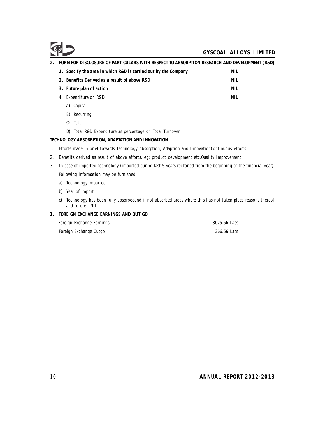| FORM FOR DISCLOSURE OF PARTICULARS WITH RESPECT TO ABSORPTION RESEARCH AND DEVELOPMENT (R&D) |      |
|----------------------------------------------------------------------------------------------|------|
| 1. Specify the area in which R&D is carried out by the Company                               | NIL  |
| 2. Benefits Derived as a result of above R&D                                                 | NIL  |
| 3. Future plan of action                                                                     | NIL  |
| Expenditure on R&D<br>4.                                                                     | NIL. |
|                                                                                              |      |

- A) Capital
- B) Recurring
- C) Total

D) Total R&D Expenditure as percentage on Total Turnover

**TECHNOLOGY ABSORBPTION, ADAPTATION AND INNOVATION**

- 1. Efforts made in brief towards Technology Absorption, Adaption and InnovationContinuous efforts
- 2. Benefits derived as result of above efforts. eg: product development etc.Quality Improvement
- 3. In case of imported technology (imported during last 5 years reckoned from the beginning of the financial year) Following information may be furnished:
	- a) Technology imported
	- b) Year of import
	- c) Technology has been fully absorbedand if not absorbed areas where this has not taken place reasons thereof and future. NIL
- **3. FOREIGN EXCHANGE EARNINGS AND OUT GO**

| Foreign Exchange Earnings | 3025.56 Lacs |
|---------------------------|--------------|
| Foreign Exchange Outgo    | 366.56 Lacs  |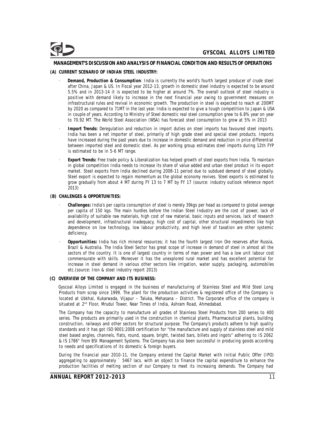### **MANAGEMENT'S DISCUSSION AND ANALYSIS OF FINANCIAL CONDITION AND RESULTS OF OPERATIONS**

#### **(A) CURRENT SCENARIO OF INDIAN STEEL INDUSTRY:**

- · **Demand, Production & Consumption**: India is currently the world's fourth largest producer of crude steel after China, Japan & US. In Fiscal year 2012-13, growth in domestic steel industry is expected to be around 5.5% and in 2013-14 it is expected to be higher at around 7%. The overall outlook of steel industry is positive with demand likely to increase in the next financial year owing to government measures on infrastructural rules and revival in economic growth. The production in steel is expected to reach at 200MT by 2020 as compared to 71MT in the last year. India is expected to give a tough competition to Japan & USA in couple of years. According to Ministry of Steel domestic real steel consumption grew to 6.8% year on year to 70.92 MT. The World Steel Association (WSA) has forecast steel consumption to grow at 5% in 2013
- · **Import Trends:** Deregulation and reduction in import duties on steel imports has favoured steel imports. India has been a net importer of steel, primarily of high grade steel and special steel products. Imports have increased during the past years due to increase in domestic demand and reduction in price differential between imported steel and domestic steel. As per working group estimates steel imports during 12th FYP is estimated to be in 5-6 MT range.
- Export Trends: Free trade policy & Liberalization has helped growth of steel exports from India. To maintain in global competition India needs to increase its share of value added and urban steel product in its export market. Steel exports from India declined during 2008-11 period due to subdued demand of steel globally. Steel export is expected to regain momentum as the global economy revives. Steel exports is estimated to grow gradually from about 4 MT during FY 13 to 7 MT by FY 17 (source: industry outlook reference report 2013)

#### **(B) CHALENGES & OPPORTUNITIES:**

- · **Challenges:** India's per capita consumption of steel is merely 39kgs per head as compared to global average per capita of 150 kgs. The main hurdles before the Indian Steel Industry are the cost of power, lack of availability of suitable raw materials, high cost of raw material, basic inputs and services, lack of research and development, infrastructural inadequacy, high cost of capital, other structural impediments like high dependence on low technology, low labour productivity, and high level of taxation are other systemic deficiency.
- · **Opportunities:** India has rich mineral resources; it has the fourth largest Iron Ore reserves after Russia, Brazil & Australia. The India Steel Sector has great scope of increase in demand of steel in almost all the sectors of the country. It is one of largest country in terms of man power and has a low unit labour cost commensurate with skills. Moreover it has the unexplored rural market and has excellent potential for increase in steel demand in various other sectors like irrigation, water supply, packaging, automobiles etc.(source: Iron & steel industry report 2013)
- **(C) OVERVIEW OF THE COMPANY AND ITS BUSINESS:**

Gyscoal Alloys Limited is engaged in the business of manufacturing of Stainless Steel and Mild Steel Long Products from scrap since 1999. The plant for the production activities & registered office of the Company is located at Ubkhal, Kukarwada, Vijapur – Taluka, Mehasana – District. The Corporate office of the company is situated at 2<sup>nd</sup> Floor, Mrudul Tower, Near Times of India, Ashram Road, Ahmedabad.

The Company has the capacity to manufacture all grades of Stainless Steel Products from 200 series to 400 series. The products are primarily used in the construction in chemical plants, Pharmaceutical plants, building construction, railways and other sectors for structural purpose. The Company's products adhere to high quality standards and it has got ISO 9001:2008 certification for "the manufacture and supply of stainless steel and mild steel based angles, channels, flats, round, square, bright, twisted bars, billets and ingots" adhering to IS 2062 & IS 1786" from BSI Management Systems. The Company has also been successful in producing goods according to needs and specifications of its domestic & foreign buyers.

During the financial year 2010-11, the Company entered the Capital Market with Initial Public Offer (IPO) aggregating to approximately ` 5467 lacs. with an object to finance the capital expenditure to enhance the production facilities of melting section of our Company to meet its increasing demands. The Company had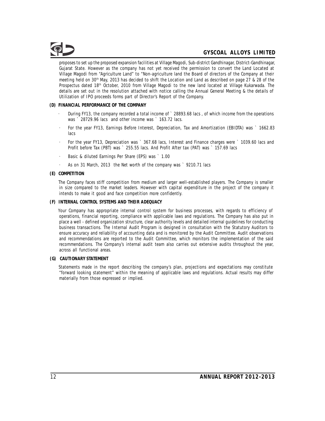proposes to set up the proposed expansion facilities at Village Magodi, Sub-district Gandhinagar, District-Gandhinagar, Gujarat State. However as the company has not yet received the permission to convert the Land Located at Village Magodi from "Agriculture Land" to "Non-agriculture land the Board of directors of the Company at their meeting held on 30<sup>th</sup> May, 2013 has decided to shift the Location and Land as described on page 27 & 28 of the Prospectus dated 18<sup>th</sup> October, 2010 from Village Magodi to the new land located at Village Kukarwada. The details are set out in the resolution attached with notice calling the Annual General Meeting & the details of Utilization of IPO proceeds forms part of Director's Report of the Company.

- **(D) FINANCIAL PERFORMANCE OF THE COMPANY**
	- During FY13, the company recorded a total income of ` 28893.68 lacs, of which income from the operations was ` 28729.96 lacs and other income was ` 163.72 lacs.
	- · For the year FY13, Earnings Before Interest, Depreciation, Tax and Amortization (EBIDTA) was ` 1662.83 lacs
	- For the year FY13, Depreciation was ` 367.68 lacs, Interest and Finance charges were ` 1039.60 lacs and Profit before Tax (PBT) was ` 255.55 lacs. And Profit After tax (PAT) was ` 157.69 lacs
	- Basic & diluted Earnings Per Share (EPS) was ` 1.00
	- As on 31 March, 2013 the Net worth of the company was ` 9210.71 lacs
- **(E) COMPETITION**

The Company faces stiff competition from medium and larger well-established players. The Company is smaller in size compared to the market leaders. However with capital expenditure in the project of the company it intends to make it good and face competition more confidently.

**(F) INTERNAL CONTROL SYSTEMS AND THEIR ADEQUACY**

Your Company has appropriate internal control system for business processes, with regards to efficiency of operations, financial reporting, compliance with applicable laws and regulations. The Company has also put in place a well - defined organization structure, clear authority levels and detailed internal guidelines for conducting business transactions. The Internal Audit Program is designed in consultation with the Statutory Auditors to ensure accuracy and reliability of accounting data and is monitored by the Audit Committee. Audit observations and recommendations are reported to the Audit Committee, which monitors the implementation of the said recommendations. The Company's internal audit team also carries out extensive audits throughout the year, across all functional areas.

**(G) CAUTIONARY STATEMENT**

Statements made in the report describing the company's plan, projections and expectations may constitute "forward looking statement" within the meaning of applicable laws and regulations. Actual results may differ materially from those expressed or implied.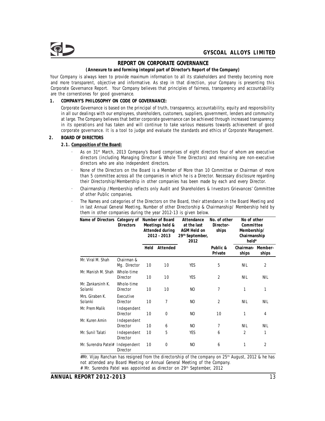## **REPORT ON CORPORATE GOVERNANCE**

### **(Annexure to and forming integral part of Director's Report of the Company)**

Your Company is always keen to provide maximum information to all its stakeholders and thereby becoming more and more transparent, objective and informative. As step in that direction, your Company is presenting this Corporate Governance Report. Your Company believes that principles of fairness, transparency and accountability are the cornerstones for good governance.

**1. COMPANY'S PHILOSOPHY ON CODE OF GOVERNANCE:**

Corporate Governance is based on the principal of truth, transparency, accountability, equity and responsibility in all our dealings with our employees, shareholders, customers, suppliers, government, lenders and community at large. The Company believes that better corporate governance can be achieved through increased transparency in its operations and has taken and will continue to take various measures towards achievement of good corporate governance. It is a tool to judge and evaluate the standards and ethics of Corporate Management.

#### **2. BOARD OF DIRECTORS**

- **2.1. Composition ofthe Board:**
	- · As on 31<sup>st</sup> March, 2013 Company's Board comprises of eight directors four of whom are executive directors (including Managing Director & Whole Time Directors) and remaining are non-executive directors who are also independent directors.
	- · None of the Directors on the Board is a Member of More than 10 Committee or Chairman of more than 5 committee across all the companies in which he is a Director. Necessary disclosure regarding their Directorship/Membership in other companies has been made by each and every Director.
	- · Chairmanship /Membership reflects only Audit and Shareholders & Investors Grievances' Committee of other Public companies.
	- The Names and categories of the Directors on the Board, their attendance in the Board Meeting and in last Annual General Meeting, Number of other Directorship & Chairmanship/ Membership held by them in other companies during the year 2012-13 is given below.

| Name of Directors            | Category of                    |      | Number of Board                                   | Attendance                                                        | No. of other        | No of other                                       |                |
|------------------------------|--------------------------------|------|---------------------------------------------------|-------------------------------------------------------------------|---------------------|---------------------------------------------------|----------------|
|                              | <b>Directors</b>               |      | Meetings held &<br>Attended during<br>2012 - 2013 | at the last<br>AGM Held on<br>29 <sup>th</sup> September,<br>2012 | Director-<br>ships  | Committee<br>Membership/<br>Chairmanship<br>held* |                |
|                              |                                | Held | Attended                                          |                                                                   | Public &<br>Private | Chairman- Member-<br>ships                        | ships          |
| Mr. Viral M. Shah            | Chairman &<br>Mg. Director     | 10   | 10                                                | YES                                                               | 5                   | NIL                                               | 2              |
| Mr. Manish M. Shah           | Whole-time<br><b>Director</b>  | 10   | 10                                                | <b>YES</b>                                                        | $\overline{2}$      | <b>NIL</b>                                        | <b>NIL</b>     |
| Mr. Zankarsinh K.<br>Solanki | Whole-time<br>Director         | 10   | 10                                                | N <sub>O</sub>                                                    | 7                   | 1                                                 | 1              |
| Mrs. Giraben K.<br>Solanki   | Executive<br>Director          | 10   | 7                                                 | N <sub>O</sub>                                                    | $\overline{2}$      | <b>NIL</b>                                        | <b>NIL</b>     |
| Mr. Prem Malik               | Independent<br><b>Director</b> | 10   | $\mathbf 0$                                       | N <sub>O</sub>                                                    | 10                  | 1                                                 | 4              |
| Mr. Kuren Amin               | Independent<br>Director        | 10   | 6                                                 | N <sub>O</sub>                                                    | 7                   | <b>NIL</b>                                        | <b>NIL</b>     |
| Mr. Sunil Talati             | Independent<br>Director        | 10   | 5                                                 | <b>YES</b>                                                        | 6                   | $\overline{2}$                                    | 1              |
| Mr. Surendra Patel#          | Independent<br>Director        | 10   | 0                                                 | NO                                                                | 6                   | 1                                                 | $\overline{2}$ |

#Mr. Vijay Ranchan has resigned from the directorship of the company on 25<sup>th</sup> August, 2012 & he has not attended any Board Meeting or Annual General Meeting of the Company. # Mr. Surendra Patel was appointed as director on 29<sup>th</sup> September, 2012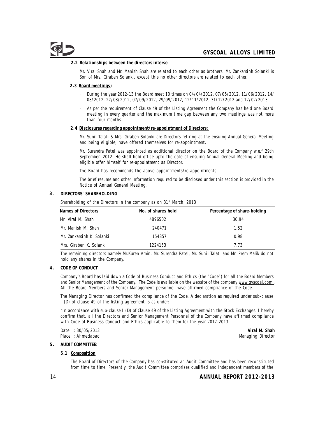#### **2.2 Relationships between the directors interse**

Mr. Viral Shah and Mr. Manish Shah are related to each other as brothers. Mr. Zankarsinh Solanki is Son of Mrs. Giraben Solanki, except this no other directors are related to each other.

#### **2.3 Board meetings :**

- · During the year 2012-13 the Board meet 10 times on 04/04/2012, 07/05/2012, 11/06/2012, 14/ 08/2012, 27/08/2012, 07/09/2012, 29/09/2012, 12/11/2012, 31/12/2012 and 12/02/2013
- As per the requirement of Clause 49 of the Listing Agreement the Company has held one Board meeting in every quarter and the maximum time gap between any two meetings was not more than four months.

#### **2.4 Disclosures regarding appointment/re-appointment of Directors:**

Mr. Sunil Talati & Mrs. Giraben Solanki are Directors retiring at the ensuing Annual General Meeting and being eligible, have offered themselves for re-appointment.

Mr. Surendra Patel was appointed as additional director on the Board of the Company w.e.f 29th September, 2012. He shall hold office upto the date of ensuing Annual General Meeting and being eligible offer himself for re-appointment as Director.

The Board has recommends the above appointments/re-appointments.

The brief resume and other information required to be disclosed under this section is provided in the Notice of Annual General Meeting.

#### **3. DIRECTORS' SHAREHOLDING**

Shareholding of the Directors in the company as on 31<sup>st</sup> March, 2013

| Names of Directors        | No. of shares held | Percentage of share-holding |
|---------------------------|--------------------|-----------------------------|
| Mr. Viral M. Shah         | 4896502            | 30.94                       |
| Mr. Manish M. Shah        | 240471             | 1.52                        |
| Mr. Zankarsinh K. Solanki | 154857             | 0.98                        |
| Mrs. Giraben K. Solanki   | 1224153            | 7.73                        |

The remaining directors namely Mr.Kuren Amin, Mr. Surendra Patel, Mr. Sunil Talati and Mr. Prem Malik do not hold any shares in the Company.

**4. CODE OF CONDUCT**

Company's Board has laid down a Code of Business Conduct and Ethics (the "Code") for all the Board Members and Senior Management of the Company. The Code is available on the website of the company www.gyscoal.com. All the Board Members and Senior Management personnel have affirmed compliance of the Code.

The Managing Director has confirmed the compliance of the Code. A declaration as required under sub-clause I (D) of clause 49 of the listing agreement is as under:

"In accordance with sub-clause I (D) of Clause 49 of the Listing Agreement with the Stock Exchanges. I hereby confirm that, all the Directors and Senior Management Personnel of the Company have affirmed compliance with Code of Business Conduct and Ethics applicable to them for the year 2012-2013.

Date : 30/05/2013 **Viral M. Shah**

Managing Director

#### **5. AUDIT COMMITTEE:**

**5.1 Composition**

The Board of Directors of the Company has constituted an Audit Committee and has been reconstituted from time to time. Presently, the Audit Committee comprises qualified and independent members of the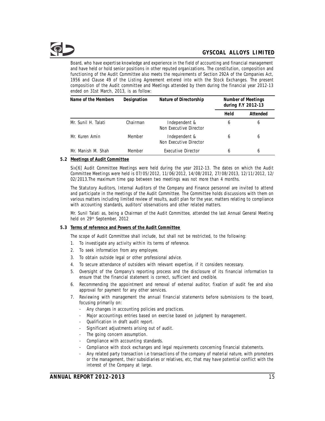Board, who have expertise knowledge and experience in the field of accounting and financial management and have held or hold senior positions in other reputed organizations. The constitution, composition and functioning of the Audit Committee also meets the requirements of Section 292A of the Companies Act, 1956 and Clause 49 of the Listing Agreement entered into with the Stock Exchanges. The present composition of the Audit committee and Meetings attended by them during the financial year 2012-13 ended on 31st March, 2013, is as follow:

| Name of the Members | Designation | Nature of Directorship                  | Number of Meetings<br>during F.Y 2012-13 |          |
|---------------------|-------------|-----------------------------------------|------------------------------------------|----------|
|                     |             |                                         | Held                                     | Attended |
| Mr. Sunil H. Talati | Chairman    | Independent &<br>Non Executive Director | 6                                        | 6        |
| Mr. Kuren Amin      | Member      | Independent &<br>Non Executive Director | 6                                        | 6        |
| Mr. Manish M. Shah  | Member      | Executive Director                      | 6                                        | 6        |

**5.2 Meetings of Audit Committee**

Six[6] Audit Committee Meetings were held during the year 2012-13. The dates on which the Audit Committee Meetings were held is 07/05/2012, 11/06/2012, 14/08/2012, 27/08/2013, 12/11/2012, 12/ 02/2013.The maximum time gap between two meetings was not more than 4 months.

The Statutory Auditors, Internal Auditors of the Company and Finance personnel are invited to attend and participate in the meetings of the Audit Committee. The Committee holds discussions with them on various matters including limited review of results, audit plan for the year, matters relating to compliance with accounting standards, auditors' observations and other related matters.

Mr. Sunil Talati as, being a Chairman of the Audit Committee, attended the last Annual General Meeting held on 29<sup>th</sup> September, 2012

**5.3 Terms of reference and Powers of the Audit Committee**

The scope of Audit Committee shall include, but shall not be restricted, to the following:

- 1. To investigate any activity within its terms of reference.
- 2. To seek information from any employee.
- 3. To obtain outside legal or other professional advice.
- 4. To secure attendance of outsiders with relevant expertise, if it considers necessary.
- 5. Oversight of the Company's reporting process and the disclosure of its financial information to ensure that the financial statement is correct, sufficient and credible.
- 6. Recommending the appointment and removal of external auditor, fixation of audit fee and also approval for payment for any other services.
- 7. Reviewing with management the annual financial statements before submissions to the board, focusing primarily on:
	- Any changes in accounting policies and practices.
	- Major accountings entries based on exercise based on judgment by management.
	- Qualification in draft audit report.
	- Significant adjustments arising out of audit.
	- The going concern assumption.
	- Compliance with accounting standards.
	- Compliance with stock exchanges and legal requirements concerning financial statements.
	- Any related party transaction i.e transactions of the company of material nature, with promoters or the management, their subsidiaries or relatives, etc, that may have potential conflict with the interest of the Company at large.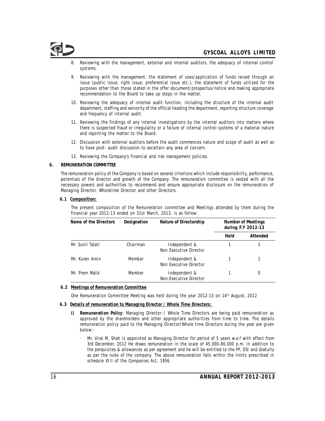

- Reviewing with the management, external and internal auditors, the adequacy of internal control systems.
- Reviewing with the management, the statement of uses/application of funds raised through an issue (public issue, right issue, preferential issue etc.), the statement of funds utilized for the purposes other than those stated in the offer document/prospectus/notice and making appropriate recommendation to the Board to take up steps in the matter.
- 10. Reviewing the adequacy of internal audit function, including the structure of the internal audit department, staffing and seniority of the official heading the department, reporting structure coverage and frequency of internal audit.
- 11. Reviewing the findings of any internal investigations by the internal auditors into matters where there is suspected fraud or irregularity or a failure of internal control systems of a material nature and reporting the matter to the Board.
- 12. Discussion with external auditors before the audit commences nature and scope of audit as well as to have post- audit discussion to ascertain any area of concern.
- 13. Reviewing the Company's financial and risk management policies.

#### **6. REMUNERATION COMMITTEE**

The remuneration policy of the Company is based on several criterions which include responsibility, performance, potentials of the director and growth of the Company. The remuneration committee is vested with all the necessary powers and authorities to recommend and ensure appropriate disclosure on the remuneration of Managing Director, Wholetime Director and other Directors.

**6.1 Composition:**

The present composition of the Remuneration committee and Meetings attended by them during the financial year 2012-13 ended on 31st March, 2013, is as follow:

| Name of the Directors | Designation<br>Nature of Directorship |                                         | Number of Meetings<br>during F.Y 2012-13 |          |
|-----------------------|---------------------------------------|-----------------------------------------|------------------------------------------|----------|
|                       |                                       |                                         | Held                                     | Attended |
| Mr. Sunil Talati      | Chairman                              | Independent &<br>Non Executive Director |                                          |          |
| Mr. Kuren Amin        | Member                                | Independent &<br>Non Executive Director |                                          |          |
| Mr. Prem Malik        | Member                                | Independent &<br>Non-Executive Director |                                          |          |

#### **6.2 Meetings of Remuneration Committee**

One Remuneration Committee Meeting was held during the year 2012-13 on 14<sup>th</sup> August, 2012

- **6.3 Details of remuneration to Managing Director / Whole Time Directors:**
	- **i) Remuneration Policy**: Managing Director / Whole Time Directors are being paid remuneration as approved by the shareholders and other appropriate authorities from time to time. The details remuneration policy paid to the Managing Director/Whole time Directors during the year are given below:-
		- · Mr. Viral M. Shah is appointed as Managing Director for period of 5 years w.e.f with effect from 3rd December, 2012 He draws remuneration in the scale of 45,000-80,000 p.m. in addition to the perquisites & allowances as per agreement and he will be entitled to the PF, ESI and Gratuity as per the rules of the company. The above remuneration falls within the limits prescribed in schedule XIII of the Companies Act, 1956.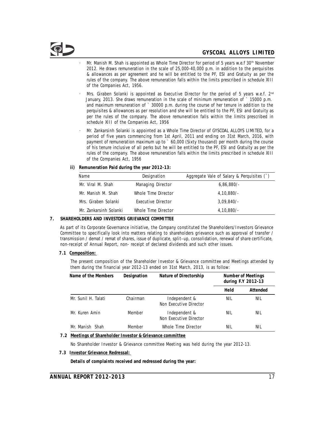- · Mr. Manish M. Shah is appointed as Whole Time Director for period of 5 years w.e.f  $30<sup>th</sup>$  November 2012. He draws remuneration in the scale of 25,000-40,000 p.m. in addition to the perquisites & allowances as per agreement and he will be entitled to the PF, ESI and Gratuity as per the rules of the company. The above remuneration falls within the limits prescribed in schedule XIII of the Companies Act, 1956.
- · Mrs. Giraben Solanki is appointed as Executive Director for the period of 5 years w.e.f.  $2<sup>nd</sup>$ January, 2013. She draws remuneration in the scale of minimum remuneration of ` 15000 p.m. and maximum remuneration of ` 30000 p.m. during the course of her tenure in addition to the perquisites & allowances as per resolution and she will be entitled to the PF, ESI and Gratuity as per the rules of the company. The above remuneration falls within the limits prescribed in schedule XIII of the Companies Act, 1956
- · Mr. Zankarsinh Solanki is appointed as a Whole Time Director of GYSCOAL ALLOYS LIMITED, for a period of five years commencing from 1st April, 2011 and ending on 31st March, 2016, with payment of remuneration maximum up to ` 60,000 (Sixty thousand) per month during the course of his tenure inclusive of all perks but he will be entitled to the PF, ESI and Gratuity as per the rules of the company. The above remuneration falls within the limits prescribed in schedule XIII of the Companies Act, 1956
- **ii) Remuneration Paid during the year 2012-13:**

| Name                   | Designation         | Aggregate Vale of Salary & Perquisites (`) |
|------------------------|---------------------|--------------------------------------------|
| Mr. Viral M. Shah      | Managing Director   | $6,86,880/-$                               |
| Mr. Manish M. Shah     | Whole Time Director | $4,10,880/-$                               |
| Mrs. Giraben Solanki   | Executive Director  | $3.09.840/-$                               |
| Mr. Zankarsinh Solanki | Whole Time Director | $4,10,880/-$                               |

**7. SHAREHOLDERS AND INVESTORS GRIEVANCE COMMITTEE**

As part of its Corporate Governance initiative, the Company constituted the Shareholders/Investors Grievance Committee to specifically look into matters relating to shareholders grievance such as approval of transfer / transmission / demat / remat of shares, issue of duplicate, split–up, consolidation, renewal of share certificate, non-receipt of Annual Report, non- receipt of declared dividends and such other issues.

**7.1 Composition:**

The present composition of the Shareholder Investor & Grievance committee and Meetings attended by them during the financial year 2012-13 ended on 31st March, 2013, is as follow:

| Name of the Members | Designation<br>Nature of Directorship |                                         | Number of Meetings<br>during F.Y 2012-13 |          |
|---------------------|---------------------------------------|-----------------------------------------|------------------------------------------|----------|
|                     |                                       |                                         | Held                                     | Attended |
| Mr. Sunil H. Talati | Chairman                              | Independent &<br>Non Executive Director | NIL                                      | NIL      |
| Mr. Kuren Amin      | Member                                | Independent &<br>Non Executive Director | Nil                                      | NIL      |
| Mr. Manish Shah     | Member                                | Whole Time Director                     | Nil                                      | NIL      |

**7.2 Meetings of Shareholder Investor & Grievance committee**

No Shareholder Investor & Grievance committee Meeting was held during the year 2012-13.

**7.3 Investor Grievance Redressal:**

**Details of complaints received and redressed during the year:**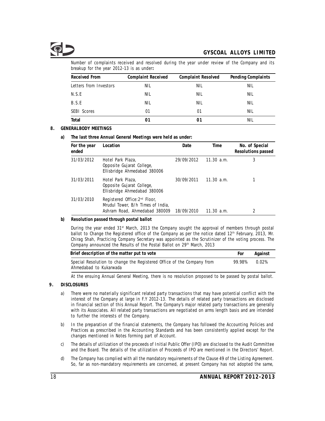Number of complaints received and resolved during the year under review of the Company and its breakup for the year 2012-13 is as under**:**

| Received From          | Complaint Received | Complaint Resolved | Pending Complaints |
|------------------------|--------------------|--------------------|--------------------|
| Letters from Investors | NIL                | NIL                | NIL                |
| N.S.E                  | NIL                | NIL                | NIL                |
| B.S.E                  | NIL                | NIL                | NIL                |
| <b>SEBI Scores</b>     | 01                 | 01                 | NIL                |
| Total                  | 01                 | 01                 | NIL                |

## **8. GENERALBODY MEETINGS**

**a) The last three Annual General Meetings were held as under:**

| For the year<br>ended | Location                                                                                                        | Date       | Time       | No. of Special<br>Resolutions passed |
|-----------------------|-----------------------------------------------------------------------------------------------------------------|------------|------------|--------------------------------------|
| 31/03/2012            | Hotel Park Plaza,<br>Opposite Gujarat College,<br>Ellisbridge Ahmedabad 380006                                  | 29/09/2012 | 11.30 a.m. | 3                                    |
| 31/03/2011            | Hotel Park Plaza,<br>Opposite Gujarat College,<br>Ellisbridge Ahmedabad 380006                                  | 30/09/2011 | 11.30 a.m. |                                      |
| 31/03/2010            | Registered Office: 2 <sup>nd</sup> Floor,<br>Mrudul Tower, B/h Times of India,<br>Ashram Road, Ahmedabad 380009 | 18/09/2010 | 11.30 a.m. | 2                                    |

**b) Resolution passed through postal ballot**

During the year ended 31<sup>st</sup> March, 2013 the Company sought the approval of members through postal ballot to Change the Registered office of the Company as per the notice dated 12<sup>th</sup> February, 2013, Mr. Chirag Shah, Practicing Company Secretary was appointed as the Scrutinizer of the voting process. The Company announced the Results of the Postal Ballot on 29<sup>th</sup> March, 2013

| Brief description of the matter put to vote                            | For    | Against  |
|------------------------------------------------------------------------|--------|----------|
| Special Resolution to change the Registered Office of the Company from | 99.98% | $0.02\%$ |
| Ahmedabad to Kukarwada                                                 |        |          |

At the ensuing Annual General Meeting, there is no resolution proposed to be passed by postal ballot.

## **9. DISCLOSURES**

- a) There were no materially significant related party transactions that may have potential conflict with the interest of the Company at large in F.Y 2012-13. The details of related party transactions are disclosed in financial section of this Annual Report. The Company's major related party transactions are generally with its Associates. All related party transactions are negotiated on arms length basis and are intended to further the interests of the Company.
- b) In the preparation of the financial statements, the Company has followed the Accounting Policies and Practices as prescribed in the Accounting Standards and has been consistently applied except for the changes mentioned in Notes forming part of Account.
- c) The details of utilization of the proceeds of Initial Public Offer (IPO) are disclosed to the Audit Committee and the Board. The details of the utilization of Proceeds of IPO are mentioned in the Directors' Report.
- d) The Company has complied with all the mandatory requirements of the Clause 49 of the Listing Agreement. So, far as non-mandatory requirements are concerned, at present Company has not adopted the same,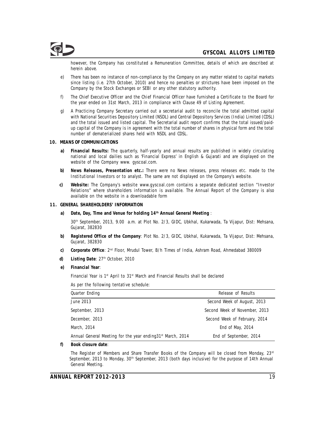however, the Company has constituted a Remuneration Committee, details of which are described at herein above.

- e) There has been no instance of non-compliance by the Company on any matter related to capital markets since listing (i.e. 27th October, 2010) and hence no penalties or strictures have been imposed on the Company by the Stock Exchanges or SEBI or any other statutory authority.
- f) The Chief Executive Officer and the Chief Financial Officer have furnished a Certificate to the Board for the year ended on 31st March, 2013 in compliance with Clause 49 of Listing Agreement.
- g) A Practicing Company Secretary carried out a secretarial audit to reconcile the total admitted capital with National Securities Depository Limited (NSDL) and Central Depository Services (India) Limited (CDSL) and the total issued and listed capital. The Secretarial audit report confirms that the total issued/paidup capital of the Company is in agreement with the total number of shares in physical form and the total number of dematerialized shares held with NSDL and CDSL.

#### **10. MEANS OF COMMUNICATIONS**

- **a) Financial Results:** The quarterly, half-yearly and annual results are published in widely circulating national and local dailies such as 'Financial Express' in English & Gujarati and are displayed on the website of the Company www. gyscoal.com.
- **b) News Releases, Presentation etc.:** There were no News releases, press releases etc. made to the Institutional Investors or to analyst. The same are not displayed on the Company's website.
- **c) Website:** The Company's website www.gyscoal.com contains a separate dedicated section "Investor Relations" where shareholders information is available. The Annual Report of the Company is also available on the website in a downloadable form
- **11. GENERAL SHAREHOLDERS' INFORMATION**
	- a) Date, Day, Time and Venue for holding 14th Annual General Meeting :

30<sup>th</sup> September, 2013, 9.00 a.m. at Plot No. 2/3, GIDC, Ubkhal, Kukarwada, Ta Vijapur, Dist: Mehsana, Gujarat, 382830

- **b) Registered Office of the Company**: Plot No. 2/3, GIDC, Ubkhal, Kukarwada, Ta Vijapur, Dist: Mehsana, Gujarat, 382830
- **c)** Corporate Office: 2<sup>nd</sup> Floor, Mrudul Tower, B/h Times of India, Ashram Road, Ahmedabad 380009
- **d)** Listing Date: 27<sup>th</sup> October, 2010
- **e) Financial Year**:

Financial Year is  $1<sup>st</sup>$  April to  $31<sup>st</sup>$  March and Financial Results shall be declared

As per the following tentative schedule:

| Quarter Ending                                                          | Release of Results            |
|-------------------------------------------------------------------------|-------------------------------|
| June 2013                                                               | Second Week of August, 2013   |
| September, 2013                                                         | Second Week of November, 2013 |
| December, 2013                                                          | Second Week of February, 2014 |
| March, 2014                                                             | End of May, 2014              |
| Annual General Meeting for the year ending 31 <sup>st</sup> March, 2014 | End of September, 2014        |

**f) Book closure date**:

The Register of Members and Share Transfer Books of the Company will be closed from Monday, 23<sup>rd</sup> September, 2013 to Monday, 30<sup>th</sup> September, 2013 (both days inclusive) for the purpose of 14th Annual General Meeting.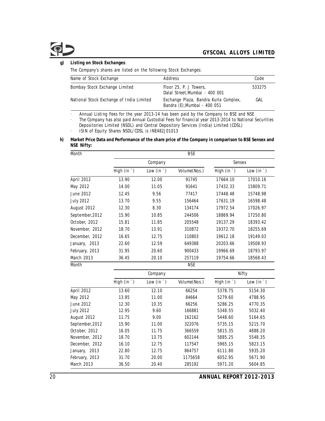**g) Listing on Stock Exchanges**:

The Company's shares are listed on the following Stock Exchanges:

| Name of Stock Exchange                   | Address                                                               | Code   |
|------------------------------------------|-----------------------------------------------------------------------|--------|
| Bombay Stock Exchange Limited            | Floor 25, P. J Towers,<br>Dalal Street, Mumbai - 400 001              | 533275 |
| National Stock Exchange of India Limited | Exchange Plaza, Bandra Kurla Complex,<br>Bandra (E), Mumbai - 400 051 | GAL    |

· Annual Listing Fees for the year 2013-14 has been paid by the Company to BSE and NSE

· The Company has also paid Annual Custodial Fees for financial year 2013-2014 to National Securities Depositories Limited (NSDL) and Central Depository Services (India) Limited (CDSL)

· ISIN of Equity Shares NSDL/CDSL is INE482J01013

**h) Market Price Data and Performance of the share price of the Company in comparison to BSE Sensex and NSE Nifty:**

| Month            |                      |                    | <b>BSE</b>    |                     |                    |
|------------------|----------------------|--------------------|---------------|---------------------|--------------------|
|                  |                      | Company            |               |                     | Sensex             |
|                  | High $(in^{\prime})$ | Low $(in^{\cdot})$ | Volume (Nos.) | High $(in^{\cdot})$ | Low $(in^{\cdot})$ |
| April 2012       | 13.90                | 12.00              | 91745         | 17664.10            | 17010.16           |
| May 2012         | 14.00                | 11.05              | 91641         | 17432.33            | 15809.71           |
| June 2012        | 12.45                | 9.56               | 77417         | 17448.48            | 15748.98           |
| <b>July 2012</b> | 13.70                | 9.55               | 156464        | 17631.19            | 16598.48           |
| August 2012      | 12.30                | 8.30               | 134174        | 17972.54            | 17026.97           |
| September, 2012  | 15.90                | 10.85              | 244506        | 18869.94            | 17250.80           |
| October, 2012    | 15.81                | 11.85              | 205548        | 19137.29            | 18393.42           |
| November, 2012   | 18.70                | 13.91              | 310872        | 19372.70            | 18255.69           |
| December, 2012   | 16.65                | 12.75              | 110803        | 19612.18            | 19149.03           |
| January, 2013    | 22.60                | 12.59              | 649388        | 20203.66            | 19508.93           |
| February, 2013   | 31.95                | 20.60              | 900433        | 19966.69            | 18793.97           |
| March 2013       | 36.45                | 20.10              | 257119        | 19754.66            | 18568.43           |
| Month            |                      |                    | NSE           |                     |                    |

|                  |                     | Company            |               |                     | Nifty              |
|------------------|---------------------|--------------------|---------------|---------------------|--------------------|
|                  | High $(in^{\cdot})$ | Low $(in^{\cdot})$ | Volume (Nos.) | High $(in^{\cdot})$ | Low $(in^{\cdot})$ |
| April 2012       | 13.60               | 12.10              | 66254         | 5378.75             | 5154.30            |
| May 2012         | 13.95               | 11.00              | 84664         | 5279.60             | 4788.95            |
| June 2012        | 12.30               | 10.35              | 66256         | 5286.25             | 4770.35            |
| <b>July 2012</b> | 12.95               | 9.60               | 166881        | 5348.55             | 5032.40            |
| August 2012      | 11.75               | 9.00               | 162162        | 5448.60             | 5164.65            |
| September, 2012  | 15.90               | 11.00              | 322076        | 5735.15             | 5215.70            |
| October, 2012    | 16.05               | 11.75              | 366559        | 5815.35             | 4888.20            |
| November, 2012   | 18.70               | 13.75              | 602144        | 5885.25             | 5548.35            |
| December, 2012   | 16.10               | 12.75              | 117547        | 5965.15             | 5823.15            |
| January, 2013    | 22.80               | 12.75              | 864757        | 6111.80             | 5935.20            |
| February, 2013   | 31.70               | 20.00              | 1175658       | 6052.95             | 5671.90            |
| March 2013       | 36.50               | 20.40              | 285192        | 5971.20             | 5604.85            |

20 **ANNUAL REPORT 2012-2013**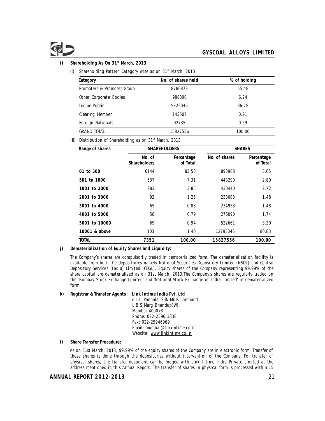**i) st Shareholding As On 31 March, 2013**

(i) Shareholding Pattern Category wise as on  $31<sup>st</sup>$  March, 2013

| No. of shares held | % of holding |  |
|--------------------|--------------|--|
| 8780878            | 55.48        |  |
| 988390             | 6.24         |  |
| 5822046            | 36.78        |  |
| 143507             | 0.91         |  |
| 92735              | 0.59         |  |
| 15827556           | 100.00       |  |
|                    |              |  |

(ii) Distribution of Shareholding as on  $31<sup>st</sup>$  March, 2013

| Range of shares | <b>SHAREHOLDERS</b>    |                        | <b>SHARES</b> |                        |  |
|-----------------|------------------------|------------------------|---------------|------------------------|--|
|                 | No. of<br>Shareholders | Percentage<br>of Total | No. of shares | Percentage<br>of Total |  |
| 01 to 500       | 6144                   | 83.58                  | 893988        | 5.65                   |  |
| 501 to 1000     | 537                    | 7.31                   | 443290        | 2.80                   |  |
| 1001 to 2000    | 283                    | 3.85                   | 430440        | 2.72                   |  |
| 2001 to 3000    | 92                     | 1.25                   | 233083        | 1.48                   |  |
| 3001 to 4000    | 65                     | 0.88                   | 234958        | 1.48                   |  |
| 4001 to 5000    | 58                     | 0.79                   | 276090        | 1.74                   |  |
| 5001 to 10000   | 69                     | 0.94                   | 522661        | 3.30                   |  |
| 10001 & above   | 103                    | 1.40                   | 12793046      | 80.83                  |  |
| TOTAL           | 7351                   | 100.00                 | 15827556      | 100.00                 |  |

**j) Dematerialization of Equity Shares and Liquidity:**

The Company's shares are compulsorily traded in dematerialized form. The dematerialization facility is available from both the depositories namely National Securities Depository Limited (NSDL) and Central Depository Services (India) Limited (CDSL). Equity shares of the Company representing 99.99% of the share capital are dematerialized as on 31st March, 2013.The Company's shares are regularly traded on the 'Bombay Stock Exchange Limited' and 'National Stock Exchange of India Limited' in dematerialized form.

**k) Registrar & Transfer Agents : Link Intime India Pvt. Ltd**

c-13, Pannalal Silk Mills Compund L.B.S Marg Bhandup(W), Mumbai-400078 Phone: 022-2596 3838 Fax: 022-25946969 Email: mumbai@linkintime.co.in Website: www.linkintime.co.in

**l) Share Transfer Procedure:**

As on 31st March, 2013, 99.99% of the equity shares of the Company are in electronic form. Transfer of these shares is done through the depositories without intervention of the Company. For transfer of physical shares, the transfer document can be lodged with Link Intime India Private Limited at the address mentioned in this Annual Report. The transfer of shares in physical form is processed within 15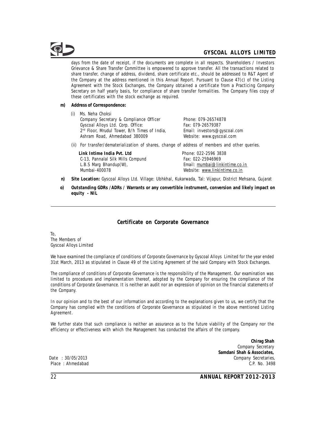days from the date of receipt, if the documents are complete in all respects. Shareholders / Investors Grievance & Share Transfer Committee is empowered to approve transfer. All the transactions related to share transfer, change of address, dividend, share certificate etc., should be addressed to R&T Agent of the Company at the address mentioned in this Annual Report. Pursuant to Clause 47(c) of the Listing Agreement with the Stock Exchanges, the Company obtained a certificate from a Practicing Company Secretary on half yearly basis, for compliance of share transfer formalities. The Company files copy of these certificates with the stock exchange as required.

- **m) Address of Correspondence:**
	- (i) Ms. Neha Choksi Company Secretary & Compliance Officer Phone: 079-26574878 Gyscoal Alloys Ltd. Corp. Office: Fax: 079-26579387<br>
	2<sup>nd</sup> Floor, Mrudul Tower, B/h Times of India, Email: investors@gyscoal.com  $2<sup>nd</sup>$  Floor, Mrudul Tower, B/h Times of India, Ashram Road, Ahmedabad 380009 Website: www.gyscoal.com

(ii) For transfer/dematerialization of shares, change of address of members and other queries.

Link Intime India Pvt. Ltd<br>
C-13. Pannalal Silk Mills Compund<br>
Fax: 022-25946969 C-13, Pannalal Silk Mills Compund L.B.S Marg Bhandup(W), L.B.S Marg Bhandup(W),  $\frac{E}{E}$  Email: mumbai@linkintime.co.in Mumbai-400078

Website: www.linkintime.co.in

- **n) Site Location:** Gyscoal Alloys Ltd. Village: Ubhkhal, Kukarwada, Tal: Vijapur, District Mehsana, Gujarat
- **o) Outstanding GDRs /ADRs / Warrants or any convertible instrument, conversion and likely impact on equity - NIL**

# **Certificate on Corporate Governance**

To, The Members of Gyscoal Alloys Limited

We have examined the compliance of conditions of Corporate Governance by Gyscoal Alloys Limited for the year ended 31st March, 2013 as stipulated in Clause 49 of the Listing Agreement of the said Company with Stock Exchanges.

The compliance of conditions of Corporate Governance is the responsibility of the Management. Our examination was limited to procedures and implementation thereof, adopted by the Company for ensuring the compliance of the conditions of Corporate Governance. It is neither an audit nor an expression of opinion on the financial statements of the Company.

In our opinion and to the best of our information and according to the explanations given to us, we certify that the Company has complied with the conditions of Corporate Governance as stipulated in the above mentioned Listing Agreement.

We further state that such compliance is neither an assurance as to the future viability of the Company nor the efficiency or effectiveness with which the Management has conducted the affairs of the company.

**Chirag Shah** Company Secretary **Samdani Shah & Associates,** Date : 30/05/2013 **Company Secretaries**, Company Secretaries, Company Secretaries, Company Secretaries, Place : Ahmedabad C.P. No. 3498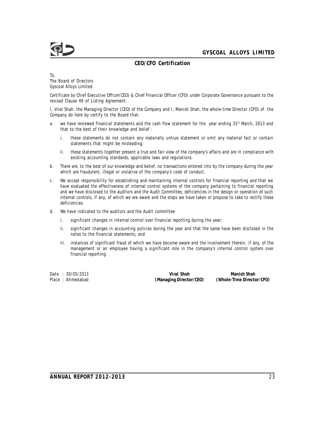

# **CEO/CFO Certification**

To, The Board of Directors Gyscoal Alloys Limited

Certificate by Chief Executive Officer(CEO) & Chief Financial Officer (CFO) under Corporate Governance pursuant to the revised Clause 49 of Listing Agreement.

I, Viral Shah. the Managing Director (CEO) of the Company and I, Manish Shah, the whole-time Director (CFO) of the Company do here by certify to the Board that:

- a. we have reviewed financial statements and the cash flow statement for the year ending 31<sup>st</sup> March, 2013 and that to the best of their knowledge and belief :
	- i. these statements do not contain any materially untrue statement or omit any material fact or contain statements that might be misleading;
	- ii. these statements together present a true and fair view of the company's affairs and are in compliance with existing accounting standards, applicable laws and regulations.
- b. There are, to the best of our knowledge and belief, no transactions entered into by the company during the year which are fraudulent, illegal or violative of the company's code of conduct.
- c. We accept responsibility for establishing and maintaining internal controls for financial reporting and that we have evaluated the effectiveness of internal control systems of the company pertaining to financial reporting and we have disclosed to the auditors and the Audit Committee, deficiencies in the design or operation of such internal controls, if any, of which we are aware and the steps we have taken or propose to take to rectify these deficiencies.
- d. We have indicated to the auditors and the Audit committee
	- i. significant changes in internal control over financial reporting during the year;
	- ii. significant changes in accounting policies during the year and that the same have been disclosed in the notes to the financial statements; and
	- iii. instances of significant fraud of which we have become aware and the involvement therein, if any, of the management or an employee having a significant role in the company's internal control system over financial reporting.

Date : 30/05/2013 **Viral Shah Manish Shah** Place : Ahmedabad **(Managing Director/CEO) (Whole-Time Director/CFO)**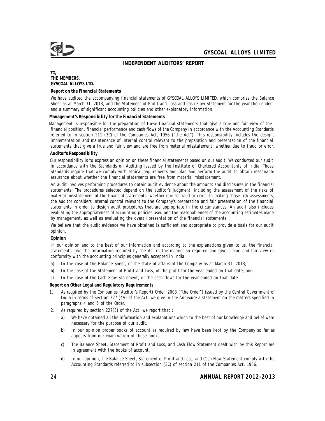## **INDEPENDENT AUDITORS' REPORT**

**TO, THE MEMBERS, GYSCOAL ALLOYS LTD.**

#### **Report on the Financial Statements**

We have audited the accompanying financial statements of GYSCOAL ALLOYS LIMITED, which comprise the Balance Sheet as at March 31, 2013, and the Statement of Profit and Loss and Cash Flow Statement for the year then ended, and a summary of significant accounting policies and other explanatory information.

#### **Management's Responsibility for the Financial Statements**

Management is responsible for the preparation of these financial statements that give a true and fair view of the financial position, financial performance and cash flows of the Company in accordance with the Accounting Standards referred to in section 211 (3C) of the Companies Act, 1956 ("the Act"). This responsibility includes the design, implementation and maintenance of internal control relevant to the preparation and presentation of the financial statements that give a true and fair view and are free from material misstatement, whether due to fraud or error.

#### **Auditor's Responsibility**

Our responsibility is to express an opinion on these financial statements based on our audit. We conducted our audit in accordance with the Standards on Auditing issued by the Institute of Chartered Accountants of India. Those Standards require that we comply with ethical requirements and plan and perform the audit to obtain reasonable assurance about whether the financial statements are free from material misstatement.

An audit involves performing procedures to obtain audit evidence about the amounts and disclosures in the financial statements. The procedures selected depend on the auditor's judgment, including the assessment of the risks of material misstatement of the financial statements, whether due to fraud or error. In making those risk assessments, the auditor considers internal control relevant to the Company's preparation and fair presentation of the financial statements in order to design audit procedures that are appropriate in the circumstances. An audit also includes evaluating the appropriateness of accounting policies used and the reasonableness of the accounting estimates made by management, as well as evaluating the overall presentation of the financial statements.

We believe that the audit evidence we have obtained is sufficient and appropriate to provide a basis for our audit opinion.

**Opinion**

In our opinion and to the best of our information and according to the explanations given to us, the financial statements give the information required by the Act in the manner so required and give a true and fair view in conformity with the accounting principles generally accepted in India:

- a) In the case of the Balance Sheet, of the state of affairs of the Company as at March 31, 2013;
- b) In the case of the Statement of Profit and Loss, of the profit for the year ended on that date; and
- c) In the case of the Cash Flow Statement, of the cash flows for the year ended on that date.

**Report on Other Legal and Regulatory Requirements**

- 1. As required by the Companies (Auditor's Report) Order, 2003 ("the Order") issued by the Central Government of India in terms of Section 227 (4A) of the Act, we give in the Annexure a statement on the matters specified in paragraphs 4 and 5 of the Order.
- 2. As required by section 227(3) of the Act, we report that :
	- a) We have obtained all the information and explanations which to the best of our knowledge and belief were necessary for the purpose of our audit.
	- b) In our opinion proper books of account as required by law have been kept by the Company so far as appears from our examination of those books.
	- c) The Balance Sheet, Statement of Profit and Loss, and Cash Flow Statement dealt with by this Report are in agreement with the books of account.
	- d) In our opinion, the Balance Sheet, Statement of Profit and Loss, and Cash Flow Statement comply with the Accounting Standards referred to in subsection (3C) of section 211 of the Companies Act, 1956.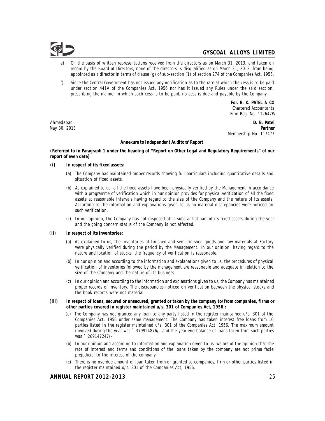

- On the basis of written representations received from the directors as on March 31, 2013, and taken on record by the Board of Directors, none of the directors is disqualified as on March 31, 2013, from being appointed as a director in terms of clause (g) of sub-section (1) of section 274 of the Companies Act, 1956.
- f) Since the Central Government has not issued any notification as to the rate at which the cess is to be paid under section 441A of the Companies Act, 1956 nor has it issued any Rules under the said section, prescribing the manner in which such cess is to be paid, no cess is due and payable by the Company.

*For, B. K. PATEL & CO Chartered Accountants Firm Reg. No. 112647W*

Ahmedabad **D. B. Patel** May 30, 2013 **Partner** Membership No. 117477

#### **Annexure to Independent Auditors' Report**

**(Referred to in Paragraph 1 under the heading of "Report on Other Legal and Regulatory Requirements" of our report of even date)**

- **(i) In respect of its fixed assets:**
	- (a) The Company has maintained proper records showing full particulars including quantitative details and situation of fixed assets.
	- (b) As explained to us, all the fixed assets have been physically verified by the Management in accordance with a programme of verification which in our opinion provides for physical verification of all the fixed assets at reasonable intervals having regard to the size of the Company and the nature of its assets. According to the information and explanations given to us no material discrepancies were noticed on such verification.
	- (c) In our opinion, the Company has not disposed off a substantial part of its fixed assets during the year and the going concern status of the Company is not affected.
- **(ii) In respect of its inventories:**
	- (a) As explained to us, the inventories of finished and semi-finished goods and raw materials at Factory were physically verified during the period by the Management. In our opinion, having regard to the nature and location of stocks, the frequency of verification is reasonable.
	- (b) In our opinion and according to the information and explanations given to us, the procedures of physical verification of inventories followed by the management are reasonable and adequate in relation to the size of the Company and the nature of its business.
	- (c) In our opinion and according to the information and explanations given to us, the Company has maintained proper records of inventory. The discrepancies noticed on verification between the physical stocks and the book records were not material.
- **(iii) In respect of loans, secured or unsecured, granted or taken by the company to/from companies, firms or other parties covered in register maintained u/s. 301 of Companies Act, 1956 :**
	- (a) The Company has not granted any loan to any party listed in the register maintained u/s. 301 of the Companies Act, 1956 under same management. The Company has taken interest free loans from 10 parties listed in the register maintained u/s. 301 of the Companies Act, 1956. The maximum amount involved during the year was ` 379924876/- and the year end balance of loans taken from such parties was ` 269147247/-
	- (b) In our opinion and according to information and explanation given to us, we are of the opinion that the rate of interest and terms and conditions of the loans taken by the company are not prima facie prejudicial to the interest of the company.
	- (c) There is no overdue amount of loan taken from or granted to companies, firm or other parties listed in the register maintained u/s. 301 of the Companies Act, 1956.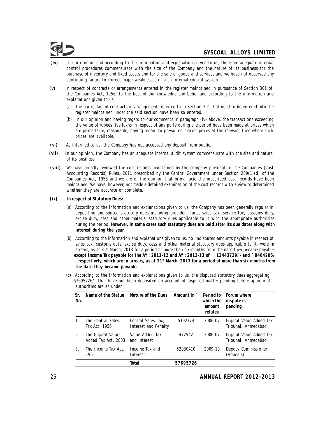

- **(iv)** In our opinion and according to the information and explanations given to us, there are adequate internal control procedures commensurate with the size of the Company and the nature of its business for the purchase of inventory and fixed assets and for the sale of goods and services and we have not observed any continuing failure to correct major weaknesses in such internal control system.
- **(v)** In respect of contracts or arrangements entered in the register maintained in pursuance of Section 301 of the Companies Act, 1956, to the best of our knowledge and belief and according to the information and explanations given to us:
	- (a) The particulars of contracts or arrangements referred to in Section 301 that need to be entered into the register maintained under the said section have been so entered.
	- (b) In our opinion and having regard to our comments in paragraph (iv) above, the transactions exceeding the value of rupees five lakhs in respect of any party during the period have been made at prices which are prima facie, reasonable, having regard to prevailing market prices at the relevant time where such prices are available.
- **(vi)** As informed to us, the Company has not accepted any deposit from public.
- **(vii)** In our opinion, the Company has an adequate internal audit system commensurate with the size and nature of its business.
- **(viii)** We have broadly reviewed the cost records maintained by the company pursuant to the Companies (Cost Accounting Records) Rules, 2011 prescribed by the Central Government under Section 209(1)(d) of the Companies Act, 1956 and we are of the opinion that prima facie the prescribed cost records have been maintained. We have, however, not made a detailed examination of the cost records with a view to determined whether they are accurate or complete.
- **(ix) In respect of Statutory Dues:**
	- (a) According to the information and explanations given to us, the Company has been generally regular in depositing undisputed statutory dues including provident fund, sales tax, service tax, customs duty, excise duty, cess and other material statutory dues applicable to it with the appropriate authorities during the period. *However, in some cases such statutory dues are paid after its due dates along with interest during the year.*
	- (b) According to the information and explanations given to us, no undisputed amounts payable in respect of sales tax, customs duty, excise duty, cess and other material statutory dues applicable to it, were in arrears, as at 31<sup>st</sup> March, 2013 for a period of more than six months from the date they became payable *except Income Tax payable for the AY : 2011-12 and AY : 2012-13 of* ` *12443729/- and* ` *8404205/ a respectively, which are in arrears, as at 31<sup>st</sup> March, 2013 for a period of more than six months from the date they became payable.*
	- (c) According to the information and explanations given to us, the disputed statutory dues aggregating ` 57695726/- that have not been deposited on account of disputed matter pending before appropriate authorities are as under :

| Sr.<br>No. | Name of the Statue                       | Nature of the Dues                         | Amount in ` | Period to<br>which the<br>amount<br>relates | Forum where<br>dispute is<br>pending           |
|------------|------------------------------------------|--------------------------------------------|-------------|---------------------------------------------|------------------------------------------------|
| 1.         | The Central Sales<br>Tax Act, 1956       | Central Sales Tax.<br>Interest and Penalty | 5192774     | 2006-07                                     | Gujarat Value Added Tax<br>Tribunal, Ahmedabad |
| 2.         | The Gujarat Value<br>Added Tax Act, 2003 | Value Added Tax<br>and interest            | 472542      | 2006-07                                     | Gujarat Value Added Tax<br>Tribunal, Ahmedabad |
| 3.         | The Income Tax Act,<br>1961              | Income Tax and<br>Interest                 | 52030410    | 2009-10                                     | Deputy Commissioner<br>(Appeals)               |
|            |                                          | Total                                      | 57695726    |                                             |                                                |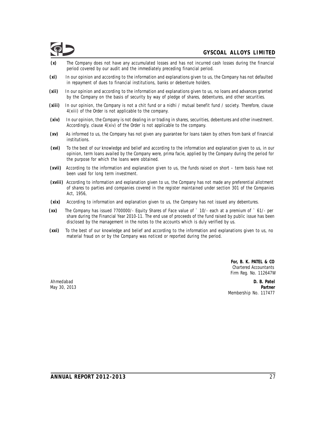- **(x)** The Company does not have any accumulated losses and has not incurred cash losses during the financial period covered by our audit and the immediately preceding financial period.
- **(xi)** In our opinion and according to the information and explanations given to us, the Company has not defaulted in repayment of dues to financial institutions, banks or debenture holders.
- **(xii)** In our opinion and according to the information and explanations given to us, no loans and advances granted by the Company on the basis of security by way of pledge of shares, debentures, and other securities.
- **(xiii)** In our opinion, the Company is not a chit fund or a nidhi / mutual benefit fund / society. Therefore, clause 4(xiii) of the Order is not applicable to the company.
- **(xiv)** In our opinion, the Company is not dealing in or trading in shares, securities, debentures and other investment. Accordingly, clause 4(xiv) of the Order is not applicable to the company.
- **(xv)** As informed to us, the Company has not given any guarantee for loans taken by others from bank of financial institutions.
- **(xvi)** To the best of our knowledge and belief and according to the information and explanation given to us, in our opinion, term loans availed by the Company were, prima facie, applied by the Company during the period for the purpose for which the loans were obtained.
- **(xvii)** According to the information and explanation given to us, the funds raised on short term basis have not been used for long term investment.
- **(xviii)** According to information and explanation given to us, the Company has not made any preferential allotment of shares to parties and companies covered in the register maintained under section 301 of the Companies Act, 1956,
- **(xix)** According to information and explanation given to us, the Company has not issued any debentures.
- **(xx)** The Company has issued 7700000/- Equity Shares of Face value of ` 10/- each at a premium of ` 61/- per share during the Financial Year 2010-11. The end use of proceeds of the fund raised by public issue has been disclosed by the management in the notes to the accounts which is duly verified by us.
- **(xxi)** To the best of our knowledge and belief and according to the information and explanations given to us, no material fraud on or by the Company was noticed or reported during the period.

*For, B. K. PATEL & CO Chartered Accountants Firm Reg. No. 112647W*

Ahmedabad **D. B. Patel** May 30, 2013 **Partner** Membership No. 117477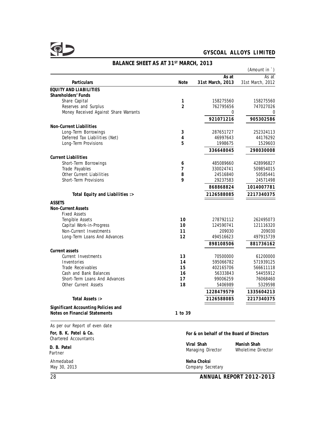|                                                        | (Amount in $\dot{\ }$ ) |                                           |                       |  |  |  |
|--------------------------------------------------------|-------------------------|-------------------------------------------|-----------------------|--|--|--|
|                                                        |                         | As at                                     | As at                 |  |  |  |
| Particulars                                            | Note                    | 31st March, 2013                          | 31st March, 2012      |  |  |  |
| <b>EQUITY AND LIABILITIES</b>                          |                         |                                           |                       |  |  |  |
| Shareholders' Funds<br>Share Capital                   | 1                       | 158275560                                 | 158275560             |  |  |  |
| Reserves and Surplus                                   | $\overline{2}$          | 762795656                                 | 747027026             |  |  |  |
| Money Received Against Share Warrants                  |                         | 0                                         | 0                     |  |  |  |
|                                                        |                         | 921071216                                 | 905302586             |  |  |  |
|                                                        |                         |                                           |                       |  |  |  |
| Non-Current Liabilities                                | 3                       | 287651727                                 | 252324113             |  |  |  |
| Long-Term Borrowings<br>Deferred Tax Liabilities (Net) | 4                       | 46997643                                  | 44176292              |  |  |  |
| Long-Term Provisions                                   | 5                       | 1998675                                   | 1529603               |  |  |  |
|                                                        |                         |                                           |                       |  |  |  |
|                                                        |                         | 336648045                                 | 298030008             |  |  |  |
| <b>Current Liabilities</b>                             |                         |                                           |                       |  |  |  |
| Short-Term Borrowings                                  | 6                       | 485089660                                 | 428996827             |  |  |  |
| Trade Payables<br>Other Current Liabilities            | 7<br>8                  | 330024741<br>24516840                     | 509854015<br>50585441 |  |  |  |
| Short-Term Provisions                                  | 9                       | 29237583                                  | 24571498              |  |  |  |
|                                                        |                         |                                           |                       |  |  |  |
|                                                        |                         | 868868824                                 | 1014007781            |  |  |  |
| Total Equity and Liabilities :>                        |                         | 2126588085                                | 2217340375            |  |  |  |
| <b>ASSETS</b>                                          |                         |                                           |                       |  |  |  |
| <b>Non-Current Assets</b>                              |                         |                                           |                       |  |  |  |
| <b>Fixed Assets</b>                                    |                         |                                           |                       |  |  |  |
| Tengible Assets                                        | 10                      | 278792112                                 | 262495073             |  |  |  |
| Capital Work-in-Progress                               | 10                      | 124590741                                 | 121116320             |  |  |  |
| Non-Current Investments                                | 11                      | 209030                                    | 209030                |  |  |  |
| Long-Term Loans And Advances                           | 12                      | 494516623                                 | 497915739             |  |  |  |
|                                                        |                         | 898108506                                 | 881736162             |  |  |  |
| Current assets                                         |                         |                                           |                       |  |  |  |
| Current Investments                                    | 13                      | 70500000                                  | 61200000              |  |  |  |
| Inventories                                            | 14                      | 595066782                                 | 571939125             |  |  |  |
| Trade Receivables                                      | 15                      | 402165706                                 | 566611118             |  |  |  |
| Cash and Bank Balances                                 | 16                      | 56333843                                  | 54455912              |  |  |  |
| Short-Term Loans And Advances                          | 17                      | 99006259                                  | 76068460              |  |  |  |
| Other Current Assets                                   | 18                      | 5406989                                   | 5329598               |  |  |  |
|                                                        |                         | 1228479579                                | 1335604213            |  |  |  |
| Total Assets :>                                        |                         | 2126588085                                | 2217340375            |  |  |  |
| Significant Accounting Policies and                    |                         |                                           |                       |  |  |  |
| Notes on Financial Statements                          | 1 to 39                 |                                           |                       |  |  |  |
| As per our Report of even date                         |                         |                                           |                       |  |  |  |
|                                                        |                         |                                           |                       |  |  |  |
| For, B. K. Patel & Co.<br><b>Chartered Accountants</b> |                         | For & on behalf of the Board of Directors |                       |  |  |  |
|                                                        |                         | Viral Shah                                | Manish Shah           |  |  |  |
| D. B. Patel<br>Partner                                 |                         | Managing Director                         | Wholetime Director    |  |  |  |
| Ahmedabad                                              |                         | Neha Choksi                               |                       |  |  |  |
| May 30, 2013                                           |                         | Company Secretary                         |                       |  |  |  |

# BALANCE SHEET AS AT 31<sup>ST</sup> MARCH, 2013

28 **ANNUAL REPORT 2012-2013**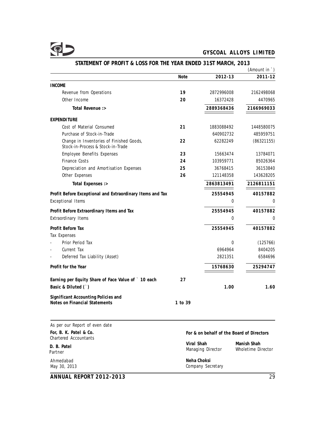# $\Phi$

# **GYSCOAL ALLOYS LIMITED**

|                                                                               |             |                                           | (Amount in `)      |
|-------------------------------------------------------------------------------|-------------|-------------------------------------------|--------------------|
|                                                                               | <b>Note</b> | 2012-13                                   | 2011-12            |
| <b>INCOME</b>                                                                 |             |                                           |                    |
| Revenue from Operations                                                       | 19          | 2872996008                                | 2162498068         |
| Other Income                                                                  | 20          | 16372428                                  | 4470965            |
| Total Revenue :>                                                              |             | 2889368436                                | 2166969033         |
| EXPENDITURE                                                                   |             |                                           |                    |
| Cost of Material Consumed                                                     | 21          | 1883088492                                | 1448580075         |
| Purchase of Stock-in-Trade                                                    |             | 640902732                                 | 485959751          |
| Change in Inventories of Finished Goods,<br>Stock-in-Process & Stock-in-Trade | 22          | 62282249                                  | (86321155)         |
| Employee Benefits Expenses                                                    | 23          | 15663474                                  | 13784071           |
| Finance Costs                                                                 | 24          | 103959771                                 | 85026364           |
| Depreciation and Amortisation Expenses                                        | 25          | 36768415                                  | 36153840           |
| Other Expenses                                                                | 26          | 121148358                                 | 143628205          |
| Total Expenses :>                                                             |             | 2863813491                                | 2126811151         |
| Profit Before Exceptional and Extraordinary Items and Tax                     |             | 25554945                                  | 40157882           |
| <b>Exceptional Items</b>                                                      |             | 0                                         | 0                  |
| Profit Before Extraordinary Items and Tax                                     |             | 25554945                                  | 40157882           |
| Extraordinary Items                                                           |             | 0                                         | 0                  |
| Profit Before Tax                                                             |             | 25554945                                  | 40157882           |
| Tax Expenses                                                                  |             |                                           |                    |
| Prior Period Tax                                                              |             | 0                                         | (125766)           |
| Current Tax                                                                   |             | 6964964                                   | 8404205            |
| Deferred Tax Liability (Asset)                                                |             | 2821351                                   | 6584696            |
| Profit for the Year                                                           |             | 15768630                                  | 25294747           |
| Earning per Equity Share of Face Value of ` 10 each                           | 27          |                                           |                    |
| Basic & Diluted (`)                                                           |             | 1.00                                      | 1.60               |
| Significant Accounting Policies and                                           |             |                                           |                    |
| Notes on Financial Statements                                                 | 1 to 39     |                                           |                    |
|                                                                               |             |                                           |                    |
| As per our Report of even date                                                |             |                                           |                    |
| For, B. K. Patel & Co.<br><b>Chartered Accountants</b>                        |             | For & on behalf of the Board of Directors |                    |
| Viral Shah<br>D. B. Patel                                                     |             |                                           | Manish Shah        |
| Partner                                                                       |             | Managing Director                         | Wholetime Director |
| Ahmedabad<br>May 30, 2013                                                     |             | Neha Choksi<br>Company Secretary          |                    |

# **STATEMENT OF PROFIT & LOSS FOR THE YEAR ENDED 31ST MARCH, 2013**

**ANNUAL REPORT 2012-2013** 29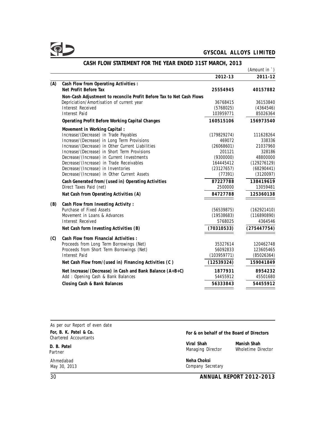

|     |                                                                      |             | (Amount in `)       |
|-----|----------------------------------------------------------------------|-------------|---------------------|
|     |                                                                      | 2012-13     | 2011-12             |
| (A) | Cash Flow from Operating Activities :                                |             |                     |
|     | Net Profit Before Tax                                                | 25554945    | 40157882            |
|     | Non-Cash Adjustment to reconcile Profit Before Tax to Net Cash Flows |             |                     |
|     | Depriciation/Amortisation of current year                            | 36768415    | 36153840            |
|     | Interest Received                                                    | (5768025)   | (4364546)           |
|     | <b>Interest Paid</b>                                                 | 103959771   | 85026364            |
|     | Operating Profit Before Working Capital Changes                      | 160515106   | 156973540           |
|     | Movement in Working Capital:                                         |             |                     |
|     | Increase/(Decrease) in Trade Payables                                | (179829274) | 111628264           |
|     | Increase/(Decrease) in Long Term Provisions                          | 469072      | 338336              |
|     | Increase/(Decrease) in Other Current Liabilities                     | (26068601)  | 21037960            |
|     | Increase/(Decrease) in Short Term Provisions                         | 201121      | 328186              |
|     | Decrease/(Increase) in Current Investments                           | (9300000)   | 48800000            |
|     | Decrease/(Increase) in Trade Receivables                             | 164445412   | (129276129)         |
|     | Decrease/(Increase) in Inventories                                   | (23127657)  | (68290441)          |
|     | Decrease/(Increase) in Other Current Assets                          | (77391)     | (3120097)           |
|     | Cash Generated from/(used in) Operating Activities                   | 87227788    | 138419619           |
|     | Direct Taxes Paid (net)                                              | 2500000     | 13059481            |
|     | Nat Cash from Operating Activities (A)                               | 84727788    | 125360138           |
| (B) | Cash Flow from Investing Activity:                                   |             |                     |
|     | Purchase of Fixed Assets                                             | (56539875)  | (162921410)         |
|     | Movement in Loans & Advances                                         | (19538683)  | (116890890)         |
|     | Interest Received                                                    | 5768025     | 4364546             |
|     | Net Cash form Investing Activities (B)                               | (70310533)  | (275447754)         |
| (C) | Cash Flow from Financial Activities :                                |             |                     |
|     | Proceeds from Long Term Borrowings (Net)                             | 35327614    | 120462748           |
|     | Proceeds from Short Term Borrowings (Net)                            | 56092833    | 123605465           |
|     | Interest Paid                                                        | (103959771) | (85026364)          |
|     | Net Cash Flow from/(used in) Financing Activities (C)                | (12539324)  | 159041849           |
|     |                                                                      |             |                     |
|     | Net Increase/(Decrease) in Cash and Bank Balance (A+B+C)             | 1877931     | 8954232<br>45501680 |
|     | Add: Opening Cash & Bank Balances                                    | 54455912    |                     |
|     | Closing Cash & Bank Balances                                         | 56333843    | 54455912            |

# **CASH FLOW STATEMENT FOR THE YEAR ENDED 31ST MARCH, 2013**

| As per our Report of even date                  |                                           |                    |  |  |  |
|-------------------------------------------------|-------------------------------------------|--------------------|--|--|--|
| For, B. K. Patel & Co.<br>Chartered Accountants | For & on behalf of the Board of Directors |                    |  |  |  |
|                                                 | Viral Shah                                | Manish Shah        |  |  |  |
| D. B. Patel<br>Partner                          | Managing Director                         | Wholetime Director |  |  |  |
| Ahmedabad<br>May 30, 2013                       | Neha Choksi<br>Company Secretary          |                    |  |  |  |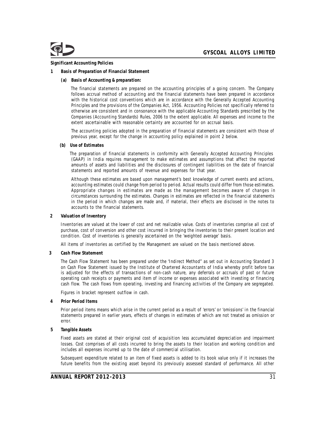

#### **Significant Accounting Policies**

- **1 Basis of Preparation of Financial Statement**
	- **(a) Basis of Accounting & preparation:**

The financial statements are prepared on the accounting principles of a going concern. The Company follows accrual method of accounting and the financial statements have been prepared in accordance with the historical cost conventions which are in accordance with the Generally Accepted Accounting Principles and the provisions of the Companies Act, 1956. Accounting Policies not specifically referred to otherwise are consistent and in consonance with the applicable Accounting Standards prescribed by the Companies (Accounting Standards) Rules, 2006 to the extent applicable. All expenses and income to the extent ascertainable with reasonable certainty are accounted for on accrual basis.

The accounting policies adopted in the preparation of financial statements are consistent with those of previous year, except for the change in accounting policy explained in point 2 below.

**(b) Use of Estimates**

The preparation of financial statements in conformity with Generally Accepted Accounting Principles (GAAP) in India requires management to make estimates and assumptions that affect the reported amounts of assets and liabilities and the disclosures of contingent liabilities on the date of financial statements and reported amounts of revenue and expenses for that year.

Although these estimates are based upon management's best knowledge of current events and actions, accounting estimates could change from period to period. Actual results could differ from those estimates. Appropriate changes in estimates are made as the management becomes aware of changes in circumstances surrounding the estimates. Changes in estimates are reflected in the financial statements in the period in which changes are made and, if material, their effects are disclosed in the notes to accounts to the financial statements.

**2 Valuation of Inventory**

Inventories are valued at the lower of cost and net realizable value. Costs of inventories comprise all cost of purchase, cost of conversion and other cost incurred in bringing the inventories to their present location and condition. Cost of inventories is generally ascertained on the 'weighted average' basis.

All items of inventories as certified by the Management are valued on the basis mentioned above.

**3 Cash Flow Statement**

The Cash Flow Statement has been prepared under the 'Indirect Method" as set out in Accounting Standard 3 on Cash Flow Statement issued by the Institute of Chartered Accountants of India whereby profit before tax is adjusted for the effects of transactions of non-cash nature, any deferrals or accruals of past or future operating cash receipts or payments and item of income or expenses associated with investing or financing cash flow. The cash flows from operating, investing and financing activities of the Company are segregated.

Figures in bracket represent outflow in cash.

**4 Prior Period Items**

Prior period items means which arise in the current period as a result of 'errors' or 'omissions' in the financial statements prepared in earlier years, effects of changes in estimates of which are not treated as omission or error.

**5 Tangible Assets**

Fixed assets are stated at their original cost of acquisition less accumulated depreciation and impairment losses. Cost comprises of all costs incurred to bring the assets to their location and working condition and includes all expenses incurred up to the date of commercial utilisation.

Subsequent expenditure related to an item of fixed assets is added to its book value only if it increases the future benefits from the existing asset beyond its previously assessed standard of performance. All other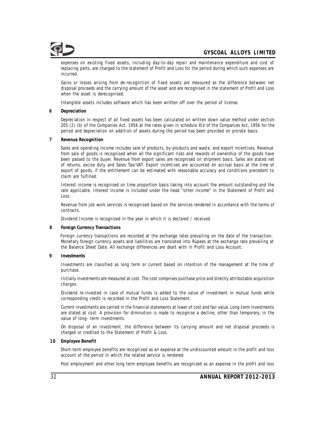expenses on existing fixed assets, including day-to-day repair and maintenance expenditure and cost of replacing parts, are charged to the statement of Profit and Loss for the period during which such expenses are incurred.

Gains or losses arising from de-recognition of fixed assets are measured as the difference between net disposal proceeds and the carrying amount of the asset and are recognised in the statement of Profit and Loss when the asset is derecognised.

Intangible assets includes software which has been written off over the period of license.

**6 Depreciation**

Depreciation in respect of all fixed assets has been calculated on written down value method under section 205 (2) (b) of the Companies Act, 1956 at the rates given in schedule XIV of the Companies Act, 1956 for the period and depreciation on addition of assets during the period has been provided on prorate basis.

**7 Revenue Recognition**

Sales and operating income includes sale of products, by-products and waste, and export incentives. Revenue from sale of goods is recognised when all the significant risks and rewards of ownership of the goods have been passed to the buyer. Revenue from export sales are recognised on shipment basis. Sales are stated net of returns, excise duty and Sales Tax/VAT. Export incentives are accounted on accrual basis at the time of export of goods, if the entitlement can be estimated with reasonable accuracy and conditions precedent to claim are fulfilled.

Interest income is recognised on time proportion basis taking into account the amount outstanding and the rate applicable. Interest income is included under the head "other income" in the Statement of Profit and Loss.

Revenue from job work services is recognised based on the services rendered in accordance with the terms of contracts.

Dividend Income is recognised in the year in which it is declared / received.

**8 Foreign Currency Transactions**

Foreign currency transactions are recorded at the exchange rates prevailing on the date of the transaction. Monetary foreign currency assets and liabilities are translated into Rupees at the exchange rate prevailing at the Balance Sheet Date. All exchange differences are dealt with in Profit and Loss Account.

**9 Investments**

Investments are classified as long term or current based on intention of the management at the time of purchase.

Initially investments are measured at cost. The cost comprises purchase price and directly attributable acquisition charges.

Dividend re-invested in case of mutual funds is added to the value of investment in mutual funds while corresponding credit is recorded in the Profit and Loss Statement.

Current investments are carried in the financial statements at lower of cost and fair value. Long-term investments are stated at cost. A provision for diminution is made to recognise a decline, other than temporary, in the value of long- term investments.

On disposal of an investment, the difference between its carrying amount and net disposal proceeds is charged or credited to the Statement of Profit & Loss.

**10 Employee Benefit**

Short-term employee benefits are recognized as an expense at the undiscounted amount in the profit and loss account of the period in which the related service is rendered.

Post employment and other long term employee benefits are recognized as an expense in the profit and loss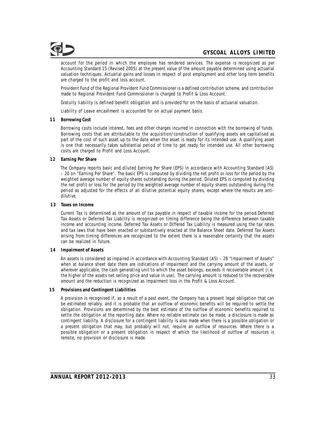account for the period in which the employee has rendered services. The expense is recognized as per Accounting Standard 15 (Revised 2005) at the present value of the amount payable determined using actuarial valuation techniques. Actuarial gains and losses in respect of post employment and other long term benefits are charged to the profit and loss account.

Provident Fund of the Regional Provident Fund Commissioner is a defined contribution scheme, and contribution made to Regional Provident Fund Commissioner is charged to Profit & Loss Account.

Gratuity liability is defined benefit obligation and is provided for on the basis of actuarial valuation.

Liability of Leave encashment is accounted for on actual payment basis.

**11 Borrowing Cost**

Borrowing costs include interest, fees and other charges incurred in connection with the borrowing of funds. Borrowing costs that are attributable to the acquisition/construction of qualifying assets are capitalised as part of the cost of such asset up to the date when the asset is ready for its intended use. A qualifying asset is one that necessarily takes substantial period of time to get ready for intended use. All other borrowing costs are charged to Profit and Loss Account.

**12 Earning Per Share**

The Company reports basic and diluted Earning Per Share (EPS) in accordance with Accounting Standard (AS) – 20 on "Earning Per Share". The basic EPS is computed by dividing the net profit or loss for the period by the weighted average number of equity shares outstanding during the period. Diluted EPS is computed by dividing the net profit or loss for the period by the weighted average number of equity shares outstanding during the period as adjusted for the effects of all dilutive potential equity shares, except where the results are antidilutive.

**13 Taxes on Income**

Current Tax is determined as the amount of tax payable in respect of taxable income for the period.Deferred Tax Assets or Deferred Tax Liability is recognized on timing difference being the difference between taxable income and accounting income. Deferred Tax Assets or Differed Tax Liability is measured using the tax rates and tax laws that have been enacted or substantively enacted at the Balance Sheet date. Deferred Tax Assets arising from timing differences are recognized to the extent there is a reasonable certainty that the assets can be realized in future.

**14 Impairment of Assets**

An assets is considered as impaired in accordance with Accounting Standard (AS) – 28 "Impairment of Assets" when at balance sheet date there are indications of impairment and the carrying amount of the assets, or wherever applicable, the cash generating unit to which the asset belongs, exceeds it recoverable amount (i.e. the higher of the assets net selling price and value in use). The carrying amount is reduced to the recoverable amount and the reduction is recognized as impairment loss in the Profit & Loss Account.

**15 Provisions and Contingent Liabilities**

A provision is recognised if, as a result of a past event, the Company has a present legal obligation that can be estimated reliably, and it is probable that an outflow of economic benefits will be required to settle the obligation. Provisions are determined by the best estimate of the outflow of economic benefits required to settle the obligation at the reporting date. Where no reliable estimate can be made, a disclosure is made as contingent liability. A disclosure for a contingent liability is also made when there is a possible obligation or a present obligation that may, but probably will not, require an outflow of resources. Where there is a possible obligation or a present obligation in respect of which the likelihood of outflow of resources is remote, no provision or disclosure is made.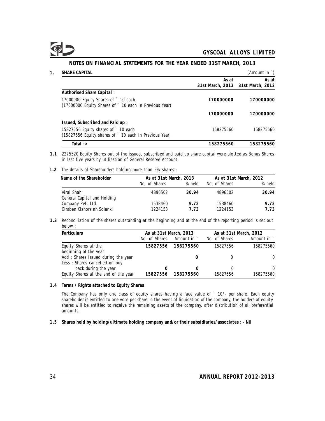**1. SHARE CAPITAL** (Amount in `) **As at As at 31st March, 2013 31st March, 2012 Authorised Share Capital :** 17000000 Equity Shares of ` 10 each **170000000 170000000** (17000000 Equity Shares of ` 10 each in Previous Year) **170000000 170000000 Issued, Subscribed and Paid up :** 15827556 Equity shares of ` 10 each 158275560 158275560 (15827556 Equity shares of ` 10 each in Previous Year) **Total :> 158275560 158275560**

**NOTES ON FINANCIAL STATEMENTS FOR THE YEAR ENDED 31ST MARCH, 2013**

### **1.1** 2275520 Equity Shares out of the issued, subscribed and paid up share capital were alotted as Bonus Shares in last five years by utilisation of General Reserve Account.

**1.2** The details of Shareholders holding more than 5% shares :

| Name of the Shareholder                   | As at 31st March, 2013 |        | As at 31st March, 2012 |        |  |
|-------------------------------------------|------------------------|--------|------------------------|--------|--|
|                                           | No. of Shares          | % held | No. of Shares          | % held |  |
| Viral Shah<br>General Capital and Holding | 4896502                | 30.94  | 4896502                | 30.94  |  |
| Company Pvt. Ltd.                         | 1538460                | 9.72   | 1538460                | 9.72   |  |
| Giraben Kishorsinh Solanki                | 1224153                | 7 73   | 1224153                | 7.73   |  |

**1.3** Reconciliation of the shares outstanding at the beginning and at the end of the reporting period is set out below :

| Particulars                          | As at 31st March, 2013 |             | As at 31st March, 2012 |             |  |
|--------------------------------------|------------------------|-------------|------------------------|-------------|--|
|                                      | No. of Shares          | Amount in ` | No. of Shares          | Amount in ` |  |
| Equity Shares at the                 | 15827556               | 158275560   | 15827556               | 158275560   |  |
| beginning of the year                |                        |             |                        |             |  |
| Add: Shares Issued during the year   |                        |             |                        | $\Omega$    |  |
| Less: Shares cancelled on buy        |                        |             |                        |             |  |
| back during the year                 | 0                      |             |                        | $\Omega$    |  |
| Equity Shares at the end of the year | 15827556               | 158275560   | 15827556               | 158275560   |  |

**1.4 Terms / Rights attached to Equity Shares**

The Company has only one class of equity shares having a face value of ` 10/- per share. Each equity shareholder is entitled to one vote per share.In the event of liquidation of the company, the holders of equity shares will be entitled to receive the remaining assets of the company, after distribution of all preferential amounts.

**1.5 Shares held by holding/ultimate holding company and/or their subsidiaries/associates : - Nil**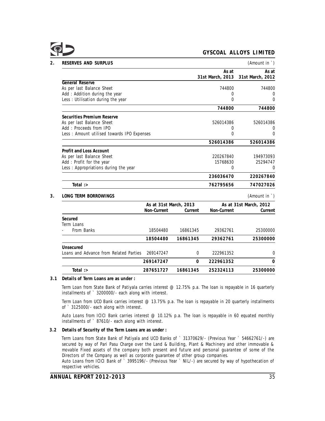

| RESERVES AND SURPLUS                       |             |                        |                  | (Amount in `)          |
|--------------------------------------------|-------------|------------------------|------------------|------------------------|
|                                            |             |                        | As at            | As at                  |
| General Reserve                            |             |                        | 31st March, 2013 | 31st March, 2012       |
| As per last Balance Sheet                  |             |                        | 744800           | 744800                 |
| Add: Addition during the year              |             |                        | 0                | 0                      |
| Less: Utilisation during the year          |             |                        | $\mathbf 0$      | 0                      |
|                                            |             |                        | 744800           | 744800                 |
| Securities Premium Reserve                 |             |                        |                  |                        |
| As per last Balance Sheet                  |             |                        | 526014386        | 526014386              |
| Add: Proceeds from IPO                     |             |                        | 0                | 0                      |
| Less: Amount utilised towards IPO Expenses |             |                        | $\Omega$         | 0                      |
|                                            |             |                        | 526014386        | 526014386              |
| Profit and Loss Account                    |             |                        |                  |                        |
| As per last Balance Sheet                  |             |                        | 220267840        | 194973093              |
| Add: Profit for the year                   |             |                        | 15768630         | 25294747               |
| Less: Appropriations during the year       |             |                        | $\Omega$         | 0                      |
|                                            |             |                        | 236036470        | 220267840              |
| Total: $>$                                 |             |                        | 762795656        | 747027026              |
| LONG TERM BORROWINGS                       |             |                        |                  | (Amount in `)          |
|                                            |             | As at 31st March, 2013 |                  | As at 31st March, 2012 |
|                                            | Non-Current | Current                | Non-Current      | Current                |
| Secured                                    |             |                        |                  |                        |
| Term Loans                                 |             |                        |                  |                        |
| From Banks                                 | 18504480    | 16861345               | 29362761         | 25300000               |
|                                            | 18504480    | 16861345               | 29362761         | 25300000               |
| Unsecured                                  |             |                        |                  |                        |
| Loans and Advance from Related Parties     | 269147247   | $\Omega$               | 222961352        | 0                      |
|                                            | 269147247   | $\Omega$               | 222961352        | 0                      |
| Total $\Rightarrow$                        | 287651727   | 16861345               | 252324113        | 25300000               |

**3.1 Details of Term Loans are as under :**

Term Loan from State Bank of Patiyala carries interest @ 12.75% p.a. The loan is repayable in 16 quarterly installments of ` 3200000/- each along with interest.

Term Loan from UCO Bank carries interest @ 13.75% p.a. The loan is repayable in 20 quarterly installments of ` 3125000/- each along with interest.

Auto Loans from ICICI Bank carries interest  $@10.12\%$  p.a. The loan is repayable in 60 equated monthly installments of ` 87610/- each along with interest.

**3.2 Details of Security of the Term Loans are as under :**

Term Loans from State Bank of Patiyala and UCO Banks of ` 31370629/- (Previous Year ` 54662761/-) are secured by way of Pari Pasu Charge over the Land & Building, Plant & Machinery and other immovable & movable Fixed assets of the company both present and future and personal guarantee of some of the Directors of the Company as well as corporate guarantee of other group companies.

Auto Loans from ICICI Bank of ` 3995196/- (Previous Year ` NIL/-) are secured by way of hypothecation of respective vehicles.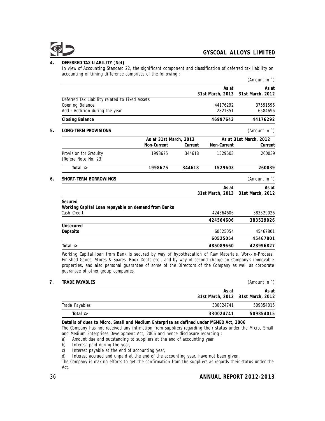

**4. DEFERRED TAX LIABILITY (Net)**

In view of Accounting Standard 22, the significant component and classification of deferred tax liability on accounting of timing difference comprises of the following :

|                                                                |                        |         |                  | (Amount in `)          |
|----------------------------------------------------------------|------------------------|---------|------------------|------------------------|
|                                                                |                        |         | As at            | As at                  |
|                                                                |                        |         | 31st March, 2013 | 31st March, 2012       |
| Deferred Tax Liability related to Fixed Assets                 |                        |         |                  |                        |
| Opening Balance                                                |                        |         | 44176292         | 37591596               |
| Add: Addition during the year                                  |                        |         | 2821351          | 6584696                |
| <b>Closing Balance</b>                                         |                        |         | 46997643         | 44176292               |
| LONG-TERM PROVISIONS                                           |                        |         |                  | (Amount in `)          |
|                                                                | As at 31st March, 2013 |         |                  | As at 31st March, 2012 |
|                                                                | Non-Current            | Current | Non-Current      | Current                |
| Provision for Gratuity                                         | 1998675                | 344618  | 1529603          | 260039                 |
| (Refere Note No. 23)                                           |                        |         |                  |                        |
| Total $\Rightarrow$                                            | 1998675                | 344618  | 1529603          | 260039                 |
| SHORT-TERM BORROWINGS                                          |                        |         |                  | (Amount in `)          |
|                                                                |                        |         | As at            | As at                  |
|                                                                |                        |         | 31st March, 2013 | 31st March, 2012       |
| Secured<br>Working Capital Loan repayable on demand from Banks |                        |         |                  |                        |
| Cash Credit                                                    |                        |         | 424564606        | 383529026              |
|                                                                |                        |         | 424564606        | 383529026              |
| Unsecured                                                      |                        |         |                  |                        |
| Depsoits                                                       |                        |         | 60525054         | 45467801               |
|                                                                |                        |         | 60525054         | 45467801               |
| Total:                                                         |                        |         | 485089660        | 428996827              |
|                                                                |                        |         |                  |                        |

Working Capital loan from Bank is secured by way of hypothecation of Raw Materials, Work-in-Process, Finished Goods, Stores & Spares, Book Debts etc., and by way of second charge on Company's immovable properties, and also personal guarantee of some of the Directors of the Company as well as corporate guarantee of other group companies.

| TRADE PAYABLES |                                            |           |  |  |  |
|----------------|--------------------------------------------|-----------|--|--|--|
|                | As at<br>31st March, 2013 31st March, 2012 | As at     |  |  |  |
| Trade Payables | 330024741                                  | 509854015 |  |  |  |
| Total: $>$     | 330024741                                  | 509854015 |  |  |  |
|                |                                            |           |  |  |  |

**Details of dues to Micro, Small and Medium Enterprise as defined under MSMED Act, 2006**

The Company has not received any intimation from suppliers regarding their status under the Micro, Small and Medium Enterprises Development Act, 2006 and hence disclosure regarding :

a) Amount due and outstanding to suppliers at the end of accounting year, b) Interest paid during the year,

b) Interest paid during the year,<br>c) Interest payable at the end of c) Interest payable at the end of accounting year,<br>d) Interest accrued and unpaid at the end of the a

Interest accrued and unpaid at the end of the accounting year, have not been given.

The Company is making efforts to get the confirmation from the suppliers as regards their status under the Act.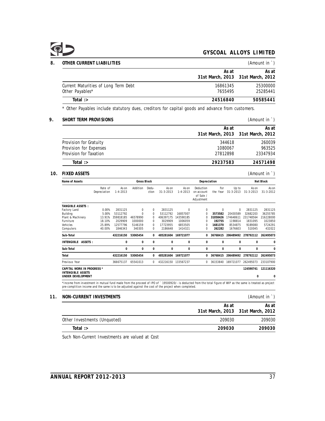# Q D

|                                                                                                                                                                                                                                                                        | OTHER CURRENT LIABILITIES                                                                        |                         |                         |                    |                |                          |                         |                                                    |                   |                             |                          | (Amount in `)            |
|------------------------------------------------------------------------------------------------------------------------------------------------------------------------------------------------------------------------------------------------------------------------|--------------------------------------------------------------------------------------------------|-------------------------|-------------------------|--------------------|----------------|--------------------------|-------------------------|----------------------------------------------------|-------------------|-----------------------------|--------------------------|--------------------------|
|                                                                                                                                                                                                                                                                        |                                                                                                  |                         |                         |                    |                |                          |                         |                                                    |                   | As at                       |                          | As at                    |
|                                                                                                                                                                                                                                                                        |                                                                                                  |                         |                         |                    |                |                          |                         |                                                    | 31st March, 2013  |                             | 31st March, 2012         |                          |
|                                                                                                                                                                                                                                                                        | Current Maturities of Long Term Debt                                                             |                         |                         |                    |                |                          |                         |                                                    |                   | 16861345                    |                          | 25300000                 |
|                                                                                                                                                                                                                                                                        | Other Payables*                                                                                  |                         |                         |                    |                |                          |                         |                                                    |                   | 7655495                     |                          | 25285441                 |
|                                                                                                                                                                                                                                                                        | Total $\Rightarrow$                                                                              |                         |                         |                    |                |                          |                         |                                                    | 24516840          |                             |                          | 50585441                 |
|                                                                                                                                                                                                                                                                        | * Other Payables include statutory dues, creditors for capital goods and advance from customers. |                         |                         |                    |                |                          |                         |                                                    |                   |                             |                          |                          |
|                                                                                                                                                                                                                                                                        | SHORT TERM PROVISIONS                                                                            |                         |                         |                    |                |                          |                         |                                                    |                   |                             |                          | (Amount in `)            |
|                                                                                                                                                                                                                                                                        |                                                                                                  |                         |                         |                    |                |                          |                         |                                                    |                   | As at                       |                          | As at                    |
|                                                                                                                                                                                                                                                                        |                                                                                                  |                         |                         |                    |                |                          |                         |                                                    | 31st March, 2013  |                             | 31st March, 2012         |                          |
|                                                                                                                                                                                                                                                                        | Provision for Gratuity                                                                           |                         |                         |                    |                |                          |                         |                                                    |                   | 344618                      |                          | 260039                   |
| Provision for Expenses                                                                                                                                                                                                                                                 |                                                                                                  |                         |                         |                    |                |                          |                         |                                                    | 1080067           |                             | 963525                   |                          |
| Provision for Taxation<br>27812898                                                                                                                                                                                                                                     |                                                                                                  |                         |                         |                    |                |                          |                         | 23347934                                           |                   |                             |                          |                          |
|                                                                                                                                                                                                                                                                        | Total :>                                                                                         |                         |                         |                    |                |                          |                         |                                                    | 29237583          |                             |                          | 24571498                 |
| <b>FIXED ASSETS</b>                                                                                                                                                                                                                                                    |                                                                                                  |                         |                         |                    |                |                          |                         |                                                    |                   |                             | (Amount in `)            |                          |
|                                                                                                                                                                                                                                                                        | Name of Assets                                                                                   |                         |                         | <b>Gross Block</b> |                |                          |                         | Depreciation                                       |                   |                             |                          | Net Block                |
|                                                                                                                                                                                                                                                                        |                                                                                                  | Rate of<br>Depreciation | As on<br>$1 - 4 - 2013$ | Addition           | Dedu-<br>ction | As on<br>$31 - 3 - 2013$ | As on<br>$1 - 4 - 2013$ | Deduction<br>on account<br>of Sale /<br>Adjustment | For               | Up to<br>the Year 31-3-2013 | As on<br>31-3-2013       | As on<br>$31 - 3 - 2012$ |
|                                                                                                                                                                                                                                                                        | TANGIBLE ASSETS :                                                                                |                         |                         |                    |                |                          |                         |                                                    |                   |                             |                          |                          |
|                                                                                                                                                                                                                                                                        | Factory Land<br>Building                                                                         | 0.00%<br>5.00%          | 2831125<br>53112792     | $\pmb{0}$<br>0     | 0<br>0         | 2831125<br>53112792      | 0<br>16857007           | 0<br>0                                             | 0<br>3573582      | 0<br>20430589               | 2831125<br>32682203      | 2831125<br>36255785      |
|                                                                                                                                                                                                                                                                        | Plant & Machinery                                                                                | 13.91%                  | 359818185               | 46578990           | 0              | 406397175                | 143590185               | 0                                                  | 31058426          | 174648611                   | 231748564                | 216228000                |
|                                                                                                                                                                                                                                                                        | Furniture<br>Vehicles                                                                            | 18.10%<br>25.89%        | 2029909<br>12577796     | 1000000<br>5146159 | 0<br>$\Omega$  | 3029909<br>17723955      | 1006059<br>6853505      | $\Omega$<br>$\Omega$                               | 192755<br>1681370 | 1198814<br>8534875          | 1831095<br>9189080       | 1023850<br>5724291       |
|                                                                                                                                                                                                                                                                        | Computers                                                                                        | 40.00%                  | 1846343                 | 340305             | $\mathbf 0$    | 2186648                  | 1414321                 | 0                                                  | 262282            | 1676603                     | 510045                   | 432022                   |
|                                                                                                                                                                                                                                                                        | Sub-Total                                                                                        |                         | 432216150               | 53065454           | 0              | 485281604                | 169721077               | 0                                                  | 36768415          |                             | 206489492 278792112      | 262495073                |
|                                                                                                                                                                                                                                                                        | INTENGIBLE ASSETS:                                                                               |                         | $\mathbf 0$             | $\mathbf 0$        | $\mathsf 0$    | $\mathsf 0$              | $\mathbf 0$             | $\mathbf 0$                                        | $\mathbf 0$       | $\mathsf 0$                 | $\mathbf 0$              | $\mathbf 0$              |
|                                                                                                                                                                                                                                                                        | Sub-Total                                                                                        |                         | $\mathsf 0$             | $\mathbf 0$        | $\mathsf 0$    | $\mathsf 0$              | $\mathbf 0$             | $\mathbf 0$                                        | $\mathbf 0$       | $\mathsf{O}\xspace$         | $\mathbf 0$              | $\mathbf 0$              |
|                                                                                                                                                                                                                                                                        | Total                                                                                            |                         | 432216150               | 53065454           | 0              | 485281604                | 169721077               | 0                                                  | 36768415          | 206489492                   | 278792112                | 262495073                |
|                                                                                                                                                                                                                                                                        | Previous Year                                                                                    |                         | 366675137               | 65541013           | $\mathbf 0$    |                          | 432216150 133567237     | 0                                                  | 36153840          | 169721077                   | 262495073                | 233107900                |
|                                                                                                                                                                                                                                                                        | CAPITAL WORK IN PROGRESS *<br>INTENGIBLE ASSETS<br>UNDER DEVELOPMENT                             |                         |                         |                    |                |                          |                         |                                                    |                   |                             | 124590741<br>$\mathbf 0$ | 121116320<br>$\mathbf 0$ |
| *Income from investment in mutual fund made from the proceed of IPO of ` 19500920/- is deducted from the total figure of WIP as the same is treated as project<br>pre-complition income and the same is to be adjusted against the cost of the project when completed. |                                                                                                  |                         |                         |                    |                |                          |                         |                                                    |                   |                             |                          |                          |
|                                                                                                                                                                                                                                                                        | NON-CURRENT INVESTMENTS                                                                          |                         |                         |                    |                |                          |                         |                                                    |                   |                             |                          | (Amount in `)            |
|                                                                                                                                                                                                                                                                        |                                                                                                  |                         |                         |                    |                |                          |                         |                                                    |                   | As at                       |                          | As at                    |
|                                                                                                                                                                                                                                                                        |                                                                                                  |                         |                         |                    |                |                          |                         |                                                    | 31st March, 2013  |                             | 31st March, 2012         |                          |
|                                                                                                                                                                                                                                                                        | Other Investments (Unquoted)                                                                     |                         |                         |                    |                |                          |                         |                                                    |                   | 209030                      |                          | 209030                   |

**Total :> 209030 209030**

Such Non-Current Investments are valued at Cost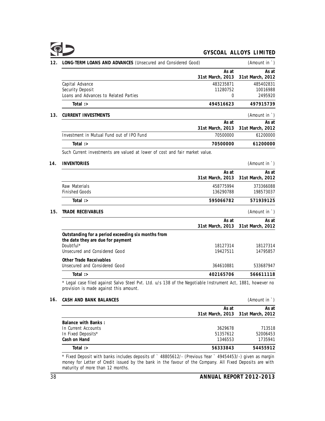| 12. | LONG-TERM LOANS AND ADVANCES (Unsecured and Considered Good)                | (Amount in $\dot{\ }$ ) |                  |
|-----|-----------------------------------------------------------------------------|-------------------------|------------------|
|     |                                                                             | As at                   | As at            |
|     |                                                                             | 31st March, 2013        | 31st March, 2012 |
|     | Capital Advance                                                             | 483235871               | 485402831        |
|     | Security Deposit                                                            | 11280752                | 10016988         |
|     | Loans and Advances to Related Parties                                       | 0                       | 2495920          |
|     | Total $\Rightarrow$                                                         | 494516623               | 497915739        |
| 13. | CURRENT INVESTMENTS                                                         |                         | (Amount in `)    |
|     |                                                                             | As at                   | As at            |
|     |                                                                             | 31st March, 2013        | 31st March, 2012 |
|     | Investment in Mutual Fund out of IPO Fund                                   | 70500000                | 61200000         |
|     | Total $\Rightarrow$                                                         | 70500000                | 61200000         |
|     | Such Current investments are valued at lower of cost and fair market value. |                         |                  |
| 14. | <b>INVENTORIES</b>                                                          |                         | (Amount in `)    |
|     |                                                                             |                         |                  |

|                                                                                                                                       | As at<br>31st March, 2013 | As at<br>31st March, 2012 |
|---------------------------------------------------------------------------------------------------------------------------------------|---------------------------|---------------------------|
| Raw Materials<br><b>Finished Goods</b>                                                                                                | 458775994<br>136290788    | 373366088<br>198573037    |
| Total $\Rightarrow$                                                                                                                   | 595066782                 | 571939125                 |
| 15.<br>TRADE RECEIVABLES                                                                                                              |                           | (Amount in `)             |
|                                                                                                                                       | As at<br>31st March, 2013 | As at<br>31st March, 2012 |
| Outstanding for a period exceeding six months from<br>the date they are due for payment<br>Doubtful*<br>Unsecured and Considered Good | 18127314<br>19427511      | 18127314<br>14795857      |
| Other Trade Receivables<br>Unsecured and Considered Good                                                                              | 364610881                 | 533687947                 |
| Total: $>$                                                                                                                            | 402165706                 | 566611118                 |

\* Legal case filed against Salvo Steel Pvt. Ltd. u/s 138 of the Negotiable Instrument Act, 1881, however no provision is made against this amount.

**16. CASH AND BANK BALANCES** (*P* 

| Amount in |  |  |
|-----------|--|--|
|           |  |  |
|           |  |  |

|                     | As at                             | As at    |
|---------------------|-----------------------------------|----------|
|                     | 31st March, 2013 31st March, 2012 |          |
| Balance with Banks: |                                   |          |
| In Current Accounts | 3629678                           | 713518   |
| In Fixed Deposits*  | 51357612                          | 52006453 |
| Cash on Hand        | 1346553                           | 1735941  |
| Total: $>$          | 56333843                          | 54455912 |

\* Fixed Deposit with banks includes deposits of ` 48805612/- (Previous Year ` 49454453/-) given as margin money for Letter of Credit issued by the bank in the favour of the Company. All Fixed Deposits are with maturity of more than 12 months.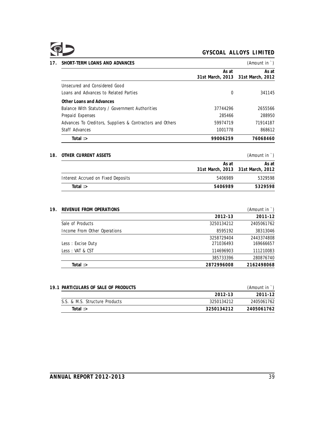| SHORT-TERM LOANS AND ADVANCES                             |                  | (Amount in `)    |
|-----------------------------------------------------------|------------------|------------------|
|                                                           | As at            | As at            |
|                                                           | 31st March, 2013 | 31st March, 2012 |
| Unsecured and Considered Good                             |                  |                  |
| Loans and Advances to Related Parties                     | 0                | 341145           |
| Other Loans and Advances                                  |                  |                  |
| Balance With Statutory / Government Authorities           | 37744296         | 2655566          |
| Prepaid Expenses                                          | 285466           | 288950           |
| Advances To Creditors, Suppliers & Contractors and Others | 59974719         | 71914187         |
| Staff Advances                                            | 1001778          | 868612           |
| Total $\Rightarrow$                                       | 99006259         | 76068460         |
|                                                           |                  |                  |

# **18. OTHER CURRENT ASSETS** (Amount in `)

|                                    | As at                             | As at   |
|------------------------------------|-----------------------------------|---------|
|                                    | 31st March, 2013 31st March, 2012 |         |
| Interest Accrued on Fixed Deposits | 5406989                           | 5329598 |
| Total $\Rightarrow$                | 5406989                           | 5329598 |
|                                    |                                   |         |

## **19. REVENUE FROM OPERATIONS** (Amount in `)

|                              | 2012-13    | 2011-12    |
|------------------------------|------------|------------|
| Sale of Products             | 3250134212 | 2405061762 |
| Income From Other Operations | 8595192    | 38313046   |
|                              | 3258729404 | 2443374808 |
| Less: Excise Duty            | 271036493  | 169666657  |
| Less: VAT & CST              | 114696903  | 111210083  |
|                              | 385733396  | 280876740  |
| Total :>                     | 2872996008 | 2162498068 |
|                              |            |            |

| 19.1 PARTICULARS OF SALE OF PRODUCTS |            | (Amount in `) |
|--------------------------------------|------------|---------------|
|                                      | 2012-13    | 2011-12       |
| S.S. & M.S. Structure Products       | 3250134212 | 2405061762    |
| Total $\Rightarrow$                  | 3250134212 | 2405061762    |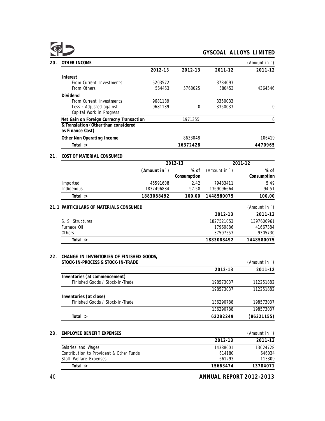| OTHER INCOME                                             |         |          |         | (Amount in `) |
|----------------------------------------------------------|---------|----------|---------|---------------|
|                                                          | 2012-13 | 2012-13  | 2011-12 | 2011-12       |
| Interest                                                 |         |          |         |               |
| From Current Investments                                 | 5203572 |          | 3784093 |               |
| From Others                                              | 564453  | 5768025  | 580453  | 4364546       |
| Dividend                                                 |         |          |         |               |
| From Current Investments                                 | 9681139 |          | 3350033 |               |
| Less: Adjusted against                                   | 9681139 | $\Omega$ | 3350033 | 0             |
| Capital Work in Progress                                 |         |          |         |               |
| Net Gain on Foreign Currecny Transaction                 |         | 1971355  |         | 0             |
| & Translation (Other than considered<br>as Finance Cost) |         |          |         |               |
| Other Non Operating Income                               |         | 8633048  |         | 106419        |
| Total $\Rightarrow$                                      |         | 16372428 |         | 4470965       |
| COST OF MATERIAL CONSUMED                                |         |          |         |               |
|                                                          | 2012-13 |          | 2011-12 |               |

# **(Amount in** `) **% of** (Amount in `) **% of Consumption Consumption** Imported 45591608 2.42 79483411 5.49 Indigenous 1837496884 97.58 1369096664 94.51 **Total :> 1883088492 100.00 1448580075 100.00**

| 21.1 PARTICULARS OF MATERIALS CONSUMED |            | (Amount in ') |
|----------------------------------------|------------|---------------|
|                                        | 2012-13    | 2011-12       |
| S. S. Structures                       | 1827521053 | 1397606961    |
| Furnace Oil                            | 17969886   | 41667384      |
| <b>Others</b>                          | 37597553   | 9305730       |
| Total :>                               | 1883088492 | 1448580075    |

# **22. CHANGE IN INVENTORIES OF FINISHED GOODS,**

| STOCK-IN-PROCESS & STOCK-IN-TRADE |           | (Amount in `) |
|-----------------------------------|-----------|---------------|
|                                   | 2012-13   | 2011-12       |
| Inventories (at commencement)     |           |               |
| Finished Goods / Stock-in-Trade   | 198573037 | 112251882     |
|                                   | 198573037 | 112251882     |
| Inventories (at close)            |           |               |
| Finished Goods / Stock-in-Trade   | 136290788 | 198573037     |
|                                   | 136290788 | 198573037     |
| Total $\Rightarrow$               | 62282249  | (86321155)    |

## **23. EMPLOYEE BENEFIT EXPENSES** (Amount in `)

|                                         | 2012-13  | 2011-12  |
|-----------------------------------------|----------|----------|
| Salaries and Wages                      | 14388001 | 13024728 |
| Contribution to Provident & Other Funds | 614180   | 646034   |
| Staff Welfare Expenses                  | 661293   | 113309   |
| Total $\Rightarrow$                     | 15663474 | 13784071 |
|                                         |          |          |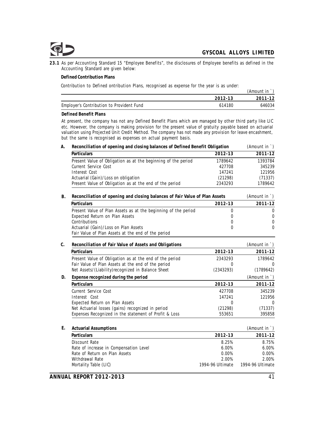

**23.1** As per Accounting Standard 15 "Employee Benefits", the disclosures of Employee benefits as defined in the Accounting Standard are given below:

**Defined Contribution Plans**

Contribution to Defined ontribution Plans, recognised as expense for the year is as under:

|                                           |         | (Amount in |
|-------------------------------------------|---------|------------|
|                                           | 2012-13 | 2011-12    |
| Employer's Contribution to Provident Fund | 614180  | 646034     |

#### **Defined Benefit Plans**

At present, the company has not any Defined Benefit Plans which are managed by other third party like LIC etc. However, the company is making provision for the present value of gratuity payable based on actuarial valuation using Projected Unit Credit Method. The company has not made any provision for leave encashment, but the same is recognised as expenses on actual payment basis.

| А. | Reconciliation of opening and closing balances of Defined Benefit Obligation |           |               |
|----|------------------------------------------------------------------------------|-----------|---------------|
|    | Particulars                                                                  | 2012-13   | 2011-12       |
|    | Present Value of Obligation as at the beginning of the period                | 1789642   | 1393784       |
|    | Current Service Cost                                                         | 427708    | 345239        |
|    | Interest Cost                                                                | 147241    | 121956        |
|    | Actuarial (Gain)/Loss on obligation                                          | (21298)   | (71337)       |
|    | Present Value of Obligation as at the end of the period                      | 2343293   | 1789642       |
| B. | Reconciliation of opening and closing balances of Fair Value of Plan Assets  |           | (Amount in `) |
|    | Particulars                                                                  | 2012-13   | 2011-12       |
|    | Present Value of Plan Assets as at the beginning of the period               | $\Omega$  | $\mathbf 0$   |
|    | Expected Return on Plan Assets                                               | $\Omega$  | $\mathbf{0}$  |
|    | Contributions                                                                | 0         | $\mathbf 0$   |
|    | Actuarial (Gain)/Loss on Plan Assets                                         | $\Omega$  | $\Omega$      |
|    | Fair Value of Plan Assets at the end of the period                           |           |               |
| C. | Reconciliation of Fair Value of Assets and Obligations                       |           | (Amount in `) |
|    | Particulars                                                                  | 2012-13   | 2011-12       |
|    | Present Value of Obligation as at the end of the period                      | 2343293   | 1789642       |
|    | Fair Value of Plan Assets at the end of the period                           | $\Omega$  | <sup>0</sup>  |
|    | Net Assets/(Liability)recognized in Balance Sheet                            | (2343293) | (1789642)     |
| D. | Expense recognized during the period                                         |           | (Amount in `) |
|    | Particulars                                                                  | 2012-13   | 2011-12       |
|    | Current Service Cost                                                         | 427708    | 345239        |
|    | Interest Cost                                                                | 147241    | 121956        |
|    | Expected Return on Plan Assets                                               | 0         | $\Omega$      |
|    | Net Actuarial losses (gains) recognized in period                            | (21298)   | (71337)       |
|    | Expenses Recognized in the statement of Profit & Loss                        | 553651    | 395858        |
| Е. | <b>Actuarial Assumptions</b>                                                 |           | (Amount in `) |
|    | Particulars                                                                  | 2012-13   | 2011-12       |
|    | Discount Rate                                                                | 8.25%     | 8.75%         |
|    | Rate of increase in Compensation Level                                       | 6.00%     | 6.00%         |
|    | Rate of Return on Plan Assets                                                | 0.00%     | 0.00%         |
|    | Withdrawal Rate                                                              | 2.00%     | 2.00%         |

Mortality Table (LIC) 1994-96 Ultimate 1994-96 Ultimate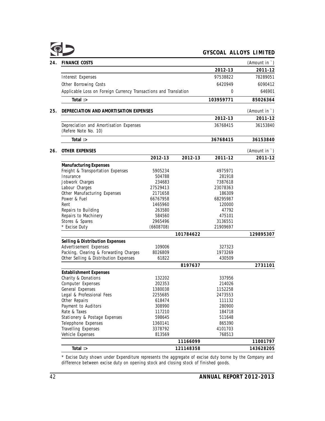| <b>FINANCE COSTS</b>                                             |                   |           |                  | (Amount in `) |
|------------------------------------------------------------------|-------------------|-----------|------------------|---------------|
|                                                                  |                   |           | 2012-13          | 2011-12       |
| Interest Expenses                                                |                   |           | 97538822         | 78289051      |
| Other Borrowing Costs                                            |                   |           | 6420949          | 6090412       |
| Applicable Loss on Foreign Currency Transactions and Translation |                   |           | 0                | 646901        |
| Total :>                                                         |                   |           | 103959771        | 85026364      |
| DEPRECIATION AND AMORTISATION EXPENSES                           |                   |           |                  | (Amount in `) |
|                                                                  |                   |           | 2012-13          | 2011-12       |
| Depreciation and Amortisation Expenses<br>(Refere Note No. 10)   |                   |           | 36768415         | 36153840      |
| Total $\Rightarrow$                                              |                   |           | 36768415         | 36153840      |
| OTHER EXPENSES                                                   |                   |           |                  | (Amount in `) |
|                                                                  | 2012-13           | 2012-13   | 2011-12          | 2011-12       |
| Manufacturing Expenses                                           |                   |           |                  |               |
| Freight & Transportation Expenses                                | 5905234           |           | 4975971          |               |
| Insurance                                                        | 504788            |           | 281918           |               |
| Jobwork Charges                                                  | 234683            |           | 7387618          |               |
| Labour Charges                                                   | 27529413          |           | 23078363         |               |
| Other Manufacturing Expenses                                     | 2171658           |           | 186309           |               |
| Power & Fuel                                                     | 66767958          |           | 68295987         |               |
| Rent                                                             | 1465960           |           | 120000           |               |
| Repairs to Building                                              | 263580            |           | 47792            |               |
| Repairs to Machinery                                             | 584560            |           | 475101           |               |
| Stores & Spares                                                  | 2965496           |           | 3136551          |               |
| * Excise Duty                                                    | (6608708)         |           | 21909697         |               |
|                                                                  |                   | 101784622 |                  | 129895307     |
| Selling & Distribution Expenses                                  |                   |           |                  |               |
| Advertisement Expenses                                           | 109006            |           | 327323           |               |
| Packing, Clearing & Forwarding Charges                           | 8026809           |           | 1973269          |               |
| Other Selling & Distribution Expenses                            | 61822             |           | 430509           |               |
|                                                                  |                   | 8197637   |                  | 2731101       |
| <b>Establishment Expenses</b>                                    |                   |           |                  |               |
| Charity & Donations                                              | 132202            |           | 337956           |               |
| Computer Expenses                                                | 202353            |           | 214026           |               |
| General Expenses                                                 | 1380038           |           | 1152258          |               |
| Legal & Professional Fees                                        | 2255685           |           | 2473553          |               |
| Other Repairs                                                    | 618474<br>308990  |           | 111132           |               |
| Payment to Auditors<br>Rate & Taxes                              | 117210            |           | 280900<br>184718 |               |
|                                                                  |                   |           |                  |               |
| Stationery & Postage Expenses<br>Telepphone Expenses             | 598645<br>1360141 |           | 511648<br>865390 |               |
| Travelling Expenses                                              | 3378792           |           | 4101703          |               |
| Vehicle Expenses                                                 | 813569            |           | 768513           |               |
|                                                                  |                   | 11166099  |                  | 11001797      |
| Total $\Rightarrow$                                              |                   | 121148358 |                  | 143628205     |
|                                                                  |                   |           |                  |               |

\* Excise Duty shown under Expenditure represents the aggregate of excise duty borne by the Company and difference between excise duty on opening stock and closing stock of finished goods.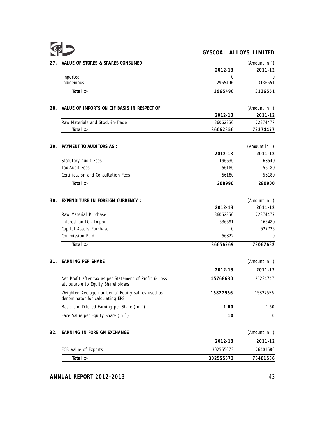|--|--|

| 27. | VALUE OF STORES & SPARES CONSUMED                                                            |             | (Amount in `)                     |
|-----|----------------------------------------------------------------------------------------------|-------------|-----------------------------------|
|     |                                                                                              | 2012-13     | 2011-12                           |
|     | Imported                                                                                     | $\Omega$    | $\Omega$                          |
|     | Indigenious                                                                                  | 2965496     | 3136551                           |
|     | Total :>                                                                                     | 2965496     | 3136551                           |
| 28. | VALUE OF IMPORTS ON CIF BASIS IN RESPECT OF                                                  |             | (Amount in `)                     |
|     |                                                                                              | 2012-13     | 2011-12                           |
|     | Raw Materials and Stock-in-Trade                                                             | 36062856    | 72374477                          |
|     | Total $\Rightarrow$                                                                          | 36062856    | 72374477                          |
| 29. | PAYMENT TO AUDITORS AS :                                                                     |             | (Amount in `)                     |
|     |                                                                                              | 2012-13     | 2011-12                           |
|     | <b>Statutory Audit Fees</b>                                                                  | 196630      | 168540                            |
|     | <b>Tax Audit Fees</b>                                                                        | 56180       | 56180                             |
|     | Certification and Consultation Fees                                                          | 56180       | 56180                             |
|     | Total $\Rightarrow$                                                                          | 308990      | 280900                            |
| 30. | EXPENDITURE IN FOREIGN CURRENCY :                                                            |             | (Amount in $\dot{\ }$ )           |
|     |                                                                                              | 2012-13     | 2011-12                           |
|     |                                                                                              |             |                                   |
|     | Raw Material Purchase                                                                        | 36062856    | 72374477                          |
|     | Interest on LC - Import                                                                      | 536591      |                                   |
|     | Capital Assets Purchase                                                                      | $\mathbf 0$ |                                   |
|     | Commission Paid                                                                              | 56822       |                                   |
|     | Total $\Rightarrow$                                                                          | 36656269    | 165480<br>527725<br>0<br>73067682 |
| 31. | EARNING PER SHARE                                                                            |             | (Amount in `)                     |
|     |                                                                                              | 2012-13     | $2011 - 12$                       |
|     | Net Profit after tax as per Statement of Profit & Loss<br>attibutable to Equity Shareholders | 15768630    |                                   |
|     | Weighted Average number of Equity sahres used as<br>denominator for calculating EPS          | 15827556    | 15827556                          |
|     | Basic and Diluted Earning per Share (in `)                                                   | 1.00        | 25294747<br>1.60                  |

# **32. EARNING IN FOREIGN EXCHANGE** (Amount in `)

|                      | 2012-13   | 2011-12  |
|----------------------|-----------|----------|
| FOB Value of Exports | 302555673 | 76401586 |
| Total $\Rightarrow$  | 302555673 | 76401586 |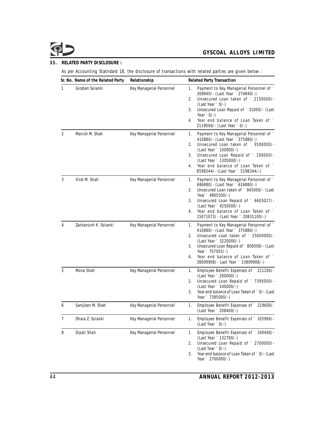# **33. RELATED PARTY DISCLOSURE :**

As per Accounting Statndard 18, the disclosure of transactions with related parties are given below :

|                | Sr. No. Name of the Related Party | Relationship             | Related Party Transaction                                                                                                                                                                                                                                                                                                      |
|----------------|-----------------------------------|--------------------------|--------------------------------------------------------------------------------------------------------------------------------------------------------------------------------------------------------------------------------------------------------------------------------------------------------------------------------|
| 1              | Giraben Solanki                   | Key Managerial Personnel | Payment to Key Managerial Personnel of `<br>1.<br>309840/- (Last Year ` 274840/-)<br>Unsecured Loan taken of ` 2150000/-<br>2.<br>$\text{(Last Year} \degree 0/-\text{)}$<br>Unsecured Loan Repaid of ` 31000/- (Last<br>3.<br>Year $\degree$ 0/-)<br>Year end balance of Loan Taken of `<br>4.<br>2119000/- (Last Year ` 0/-) |
| $\overline{2}$ | Manish M. Shah                    | Key Managerial Personnel | Payment to Key Managerial Personnel of `<br>1.<br>410880/- (Last Year ` 375880/-)<br>Unsecured Loan taken of ` 3500000/-<br>2.<br>(Last Year ` 100000/-)<br>Unsecured Loan Repaid of ` 100000/-<br>3.<br>(Last Year ` 1305000/-)<br>Year end balance of Loan Taken of `<br>4.<br>8598344/- (Last Year ` 5198344/-)             |
| 3              | Viral M. Shah                     | Key Managerial Personnel | Payment to Key Managerial Personnel of `<br>1.<br>686880/- (Last Year ` 616880/-)<br>Unsecured Loan taken of `845000/- (Last<br>2.<br>Year ` 4905500/-)<br>Unsecured Loan Repaid of `6605027/-<br>3.<br>(Last Year ` 4250000/-)<br>Year end balance of Loan Taken of `<br>4.<br>15071073/- (Last Year ` 20831100/-)            |
| 4              | Zankarsinh K. Solanki             | Key Managerial Personnel | Payment to Key Managerial Personnel of `<br>1.<br>410880/- (Last Year ` 375880/-)<br>Unsecured Loan taken of ` 25000000/-<br>2.<br>(Last Year ` 3220000/-)<br>Unsecured Loan Repaid of `800000/- (Last<br>3.<br>Year ` 707055/-)<br>Year end balance of Loan Taken of `<br>4.<br>38009908/- Last Year ` 13809908/-)            |
| 5              | Mona Shah                         | Key Managerial Personnel | Employee Benefit Expenses of `211200/-<br>1.<br>(Last Year ` 200000/-)<br>Unsecured Loan Repaid of ` 7395000/-<br>2.<br>(Last Year ` 140000/-)<br>Year end balance of Loan Taken of `0/- (Last<br>3.<br>Year ` 7395000/-)                                                                                                      |
| 6              | Sarojben M. Shah                  | Key Managerial Personnel | Employee Benefit Expenses of `219600/-<br>1.<br>(Last Year ` 208400/-)                                                                                                                                                                                                                                                         |
| $\overline{7}$ | Dhara Z. Solanki                  | Key Managerial Personnel | Employee Benefit Expenses of ` 105960/-<br>1.<br>(Last Year ` 0/-)                                                                                                                                                                                                                                                             |
| 8              | Dipali Shah                       | Key Managerial Personnel | Employee Benefit Expenses of ` 140400/-<br>1.<br>(Last Year ` 132700/-)<br>Unsecured Loan Repaid of ` 2700000/-<br>2.<br>(Last Year ` 0/-)<br>Year end balance of Loan Taken of `0/- (Last<br>3.<br>Year ` 2700000/-)                                                                                                          |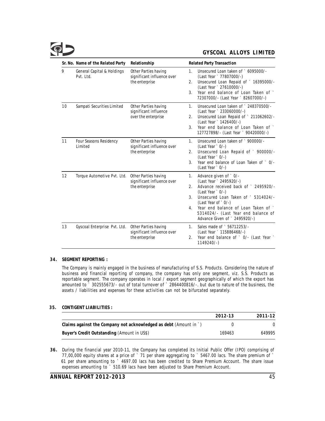|    | Sr. No. Name of the Related Party       | Relationship                                                         | <b>Related Party Transaction</b>                                                                                                                                                                                                                                                                                                   |
|----|-----------------------------------------|----------------------------------------------------------------------|------------------------------------------------------------------------------------------------------------------------------------------------------------------------------------------------------------------------------------------------------------------------------------------------------------------------------------|
| 9  | General Capital & Holdings<br>Pvt. Ltd. | Other Parties having<br>significant influence over<br>the enterprise | Unsecured Loan taken of `6095000/-<br>$\mathbf{1}$ .<br>(Last Year ` 77807000/-)<br>Unsecured Loan Repaid of ` 16395000/-<br>2.<br>(Last Year ` 27610000/-)<br>Year end balance of Loan Taken of<br>3 <sub>1</sub><br>72307000/- (Last Year ` 82607000/-)                                                                          |
| 10 | Sampati Securities Limited              | Other Parties having<br>significant influence<br>over the enterprise | Unsecured Loan taken of `248370500/-<br>$\mathbf{1}$ .<br>(Last Year ` 233060000/-)<br>Unsecured Loan Repaid of ` 211062602/-<br>2.<br>(Last Year ` 1426400/-)<br>Year end balance of Loan Taken of<br>3 <sup>1</sup><br>127727898/- (Last Year ` 90420000/-)                                                                      |
| 11 | Four Seasons Residency<br>Limited       | Other Parties having<br>significant influence over<br>the enterprise | Unsecured Loan taken of `900000/-<br>$1_{-}$<br>$(Last Year : 0/-)$<br>Unsecured Loan Repaid of ` 900000/-<br>2.<br>$(Last Year : 0/-)$<br>Year end balance of Loan Taken of `0/-<br>3.<br>$(Last Year : 0/-)$                                                                                                                     |
| 12 | Torque Automotive Pvt. Ltd.             | Other Parties having<br>significant influence over<br>the enterprise | Advance given of `0/-<br>$1_{-}$<br>(Last Year ` 2495920/-)<br>Advance received back of ` 2495920/-<br>2 <sup>1</sup><br>$(Last Year : 0/-)$<br>Unsecured Loan Taken of ` 5314024/-<br>3.<br>(Last Year of `0/-)<br>Year end balance of Loan Taken of<br>4.<br>5314024/- (Last Year end balance of<br>Advance Given of `2495920/-) |
| 13 | Gyscoal Enterprise Pvt. Ltd.            | Other Parties having<br>significant influence over<br>the enterprise | Sales made of ` 56712253/-<br>$1_{-}$<br>(Last Year ` 115886468/-)<br>Year end balance of ` 0/- (Last Year `<br>2.<br>$1149240/-$                                                                                                                                                                                                  |

#### **34. SEGMENT REPORTING :**

The Company is mainly engaged in the business of manufacturing of S.S. Products. Considering the nature of business and financial reporting of company, the company has only one segment, viz. S.S. Products as reportable segment. The company operates in local / export segment geographically of which the export has amounted to ` 302555673/- out of total turnover of ` 2864400816/-. but due to nature of the business, the assets / liabilities and expenses for these activities can not be bifurcated separately.

## **35. CONTIGENT LIABILITIES :**

|                                                                  | 2012-13 | 2011-12 |
|------------------------------------------------------------------|---------|---------|
| Claims against the Company not acknowledged as debt (Amount in ) |         |         |
| Buyer's Credit Outstanding (Amount in US\$)                      | 169463  | 649995  |

**36.** During the financial year 2010-11, the Company has completed its Initial Public Offer (IPO) comprising of 77,00,000 equity shares at a price of ` 71 per share aggregating to ` 5467.00 lacs. The share premium of ` 61 per share amounting to ` 4697.00 lacs has been credited to Share Premium Account. The share issue expenses amounting to ` 510.69 lacs have been adjusted to Share Premium Account.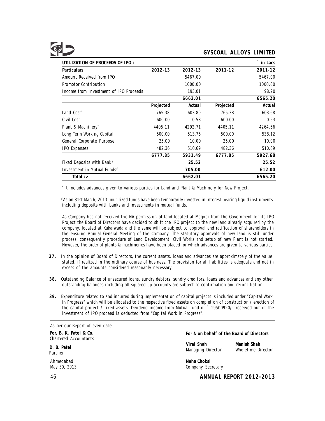| UTILIZATION OF PROCEEDS OF IPO :       |           |         |           | ` in Lacs |
|----------------------------------------|-----------|---------|-----------|-----------|
| Particulars                            | 2012-13   | 2012-13 | 2011-12   | 2011-12   |
| Amount Received from IPO               |           | 5467.00 |           | 5467.00   |
| Promotor Contribution                  |           | 1000.00 |           | 1000.00   |
| Income from Investment of IPO Proceeds |           | 195.01  |           | 98.20     |
|                                        |           | 6662.01 |           | 6565.20   |
|                                        | Projected | Actual  | Projected | Actual    |
| Land Cost <sup>*</sup>                 | 765.38    | 603.80  | 765.38    | 603.68    |
| Civil Cost                             | 600.00    | 0.53    | 600.00    | 0.53      |
| Plant & Machinery <sup>*</sup>         | 4405.11   | 4292.71 | 4405.11   | 4264.66   |
| Long Term Working Capital              | 500.00    | 513.76  | 500.00    | 538.12    |
| General Corporate Purpose              | 25.00     | 10.00   | 25.00     | 10.00     |
| <b>IPO Expenses</b>                    | 482.36    | 510.69  | 482.36    | 510.69    |
|                                        | 6777.85   | 5931.49 | 6777.85   | 5927.68   |
| Fixed Deposits with Bank#              |           | 25.52   |           | 25.52     |
| Investment in Mutual Funds#            |           | 705.00  |           | 612.00    |
| Total $\Rightarrow$                    |           | 6662.01 |           | 6565.20   |

\* It includes advances given to various parties for Land and Plant & Machinery for New Project.

# As on 31st March, 2013 unutilized funds have been temporarily invested in interest bearing liquid instruments including deposits with banks and investments in mutual funds.

As Company has not received the NA permission of land located at Magodi from the Government for its IPO Project the Board of Directors have decided to shift the IPO project to the new land already acquired by the company, located at Kukarwada and the same will be subject to approval and ratification of shareholders in the ensuing Annual General Meeting of the Company. The statutory approvals of new land is still under process, consequently procedure of Land Development, Civil Works and setup of new Plant is not started. However, the order of plants & machineries have been placed for which advances are given to various parties.

- **37.** In the opinion of Board of Directors, the current assets, loans and advances are approximately of the value stated, if realized in the ordinary course of business. The provision for all liabilities is adequate and not in excess of the amounts considered reasonably necessary.
- **38.** Outstanding Balance of unsecured loans, sundry debtors, sundry creditors, loans and advances and any other outstanding balances including all squared up accounts are subject to confirmation and reconciliation.
- **39.** Expenditure related to and incurred during implementation of capital projects is included under "Capital Work in Progress" which will be allocated to the respective fixed assets on completion of construction / erection of the capital project / fixed assets. Dividend income from Mutual fund of ` 19500920/- received out of the investment of IPO proceed is deducted from "Capital Work in Progress".

| As per our Report of even date                  |                                           |                                   |  |
|-------------------------------------------------|-------------------------------------------|-----------------------------------|--|
| For, B. K. Patel & Co.<br>Chartered Accountants | For & on behalf of the Board of Directors |                                   |  |
| D. B. Patel<br>Partner                          | Viral Shah<br>Managing Director           | Manish Shah<br>Wholetime Director |  |
| Ahmedabad<br>May 30, 2013                       | Neha Choksi<br>Company Secretary          |                                   |  |

46 **ANNUAL REPORT 2012-2013**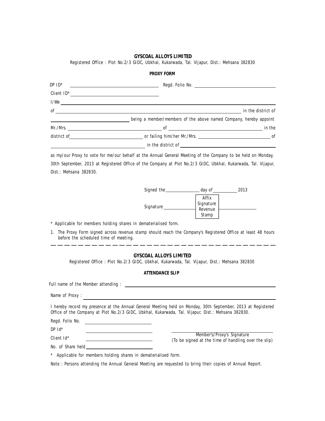Registered Office : Plot No.2/3 GIDC, Ubkhal, Kukarwada, Tal. Vijapur, Dist.: Mehsana 382830 **PROXY FORM**

| $DP$ $ID^*$ | <u> 1989 - Jan Barbara Barat, manazar a</u>                       |                    |
|-------------|-------------------------------------------------------------------|--------------------|
| Client ID*  |                                                                   |                    |
| I/We        |                                                                   |                    |
| 0f          |                                                                   | in the district of |
|             | being a member/members of the above named Company, hereby appoint |                    |
| Mr./Mrs.    |                                                                   | in the             |
|             |                                                                   |                    |
|             | in the district of                                                |                    |

as my/our Proxy to vote for me/our behalf at the Annual General Meeting of the Company to be held on Monday, 30th September, 2013 at Registered Office of the Company at Plot No.2/3 GIDC, Ubkhal, Kukarwada, Tal. Vijapur, Dist.: Mehsana 382830.

| Signed the | day of                        | 2013 |
|------------|-------------------------------|------|
| Signature  | Affix<br>Signature<br>Revenue |      |
|            | Stamp                         |      |

\* Applicable for members holding shares in dematerialised form.

1. The Proxy Form signed across revenue stamp should reach the Company's Registered Office at least 48 hours before the scheduled time of meeting.

#### **GYSCOAL ALLOYS LIMITED**

Registered Office : Plot No.2/3 GIDC, Ubkhal, Kukarwada, Tal. Vijapur, Dist.: Mehsana 382830

#### **ATTENDANCE SLIP**

| Full name of the Member attending:                                                                       |                                                                                                              |  |
|----------------------------------------------------------------------------------------------------------|--------------------------------------------------------------------------------------------------------------|--|
| Name of Proxy:                                                                                           |                                                                                                              |  |
| Office of the Company at Plot No.2/3 GIDC, Ubkhal, Kukarwada, Tal. Vijapur, Dist.: Mehsana 382830.       | I hereby record my presence at the Annual General Meeting held on Monday, 30th September, 2013 at Registered |  |
| Regd. Folio No.                                                                                          |                                                                                                              |  |
| $DP$ $Id^*$                                                                                              |                                                                                                              |  |
| Client Id*                                                                                               | Member's/Proxy's Signature<br>(To be signed at the time of handling over the slip)                           |  |
| No. of Share held                                                                                        |                                                                                                              |  |
| * Applicable for members holding shares in dematerialised form.                                          |                                                                                                              |  |
| Note: Persons attending the Annual General Meeting are requested to bring their copies of Annual Report. |                                                                                                              |  |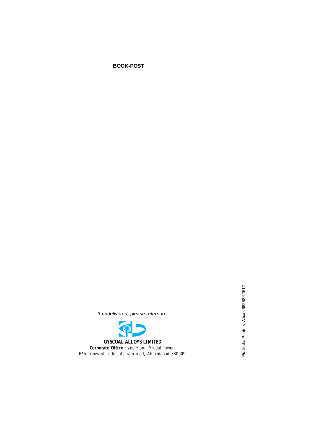**BOOK-POST**

If undelivered, please return to :

**GYSCOAL ALLOYS LIMITED Corporate Office** : 2nd Floor, Mrudul Tower, B/h Times of India, Ashram road, Ahmedabad 380009 Pratiksha Printers, A'bad. 98252 62512 Pratiksha Printers, A'bad. 98252 62512